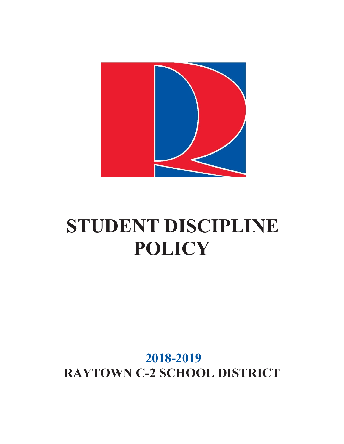

# **STUDENT DISCIPLINE POLICY**

# **2018-2019 RAYTOWN C-2 SCHOOL DISTRICT**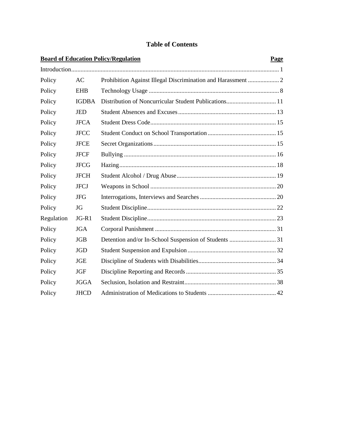# **Table of Contents**

|            |              | <b>Board of Education Policy/Regulation</b> | Page |
|------------|--------------|---------------------------------------------|------|
|            |              |                                             |      |
| Policy     | AC           |                                             |      |
| Policy     | <b>EHB</b>   |                                             |      |
| Policy     | <b>IGDBA</b> |                                             |      |
| Policy     | <b>JED</b>   |                                             |      |
| Policy     | <b>JFCA</b>  |                                             |      |
| Policy     | <b>JFCC</b>  |                                             |      |
| Policy     | <b>JFCE</b>  |                                             |      |
| Policy     | <b>JFCF</b>  |                                             |      |
| Policy     | <b>JFCG</b>  |                                             |      |
| Policy     | <b>JFCH</b>  |                                             |      |
| Policy     | <b>JFCJ</b>  |                                             |      |
| Policy     | <b>JFG</b>   |                                             |      |
| Policy     | JG           |                                             |      |
| Regulation | $JG-R1$      |                                             |      |
| Policy     | <b>JGA</b>   |                                             |      |
| Policy     | <b>JGB</b>   |                                             |      |
| Policy     | <b>JGD</b>   |                                             |      |
| Policy     | <b>JGE</b>   |                                             |      |
| Policy     | <b>JGF</b>   |                                             |      |
| Policy     | <b>JGGA</b>  |                                             |      |
| Policy     | <b>JHCD</b>  |                                             |      |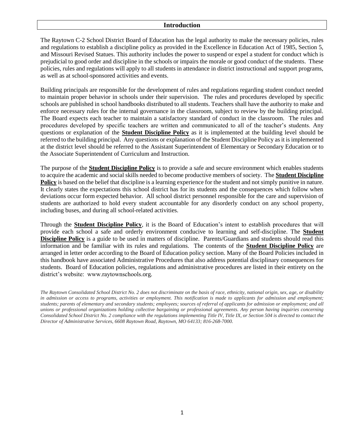#### **Introduction**

The Raytown C-2 School District Board of Education has the legal authority to make the necessary policies, rules and regulations to establish a discipline policy as provided in the Excellence in Education Act of 1985, Section 5, and Missouri Revised Statues. This authority includes the power to suspend or expel a student for conduct which is prejudicial to good order and discipline in the schools or impairs the morale or good conduct of the students. These policies, rules and regulations will apply to all students in attendance in district instructional and support programs, as well as at school-sponsored activities and events.

Building principals are responsible for the development of rules and regulations regarding student conduct needed to maintain proper behavior in schools under their supervision. The rules and procedures developed by specific schools are published in school handbooks distributed to all students. Teachers shall have the authority to make and enforce necessary rules for the internal governance in the classroom, subject to review by the building principal. The Board expects each teacher to maintain a satisfactory standard of conduct in the classroom. The rules and procedures developed by specific teachers are written and communicated to all of the teacher's students. Any questions or explanation of the **Student Discipline Policy** as it is implemented at the building level should be referred to the building principal. Any questions or explanation of the Student Discipline Policy as it is implemented at the district level should be referred to the Assistant Superintendent of Elementary or Secondary Education or to the Associate Superintendent of Curriculum and Instruction.

The purpose of the **Student Discipline Policy** is to provide a safe and secure environment which enables students to acquire the academic and social skills needed to become productive members of society. The **Student Discipline Policy** is based on the belief that discipline is a learning experience for the student and not simply punitive in nature. It clearly states the expectations this school district has for its students and the consequences which follow when deviations occur form expected behavior. All school district personnel responsible for the care and supervision of students are authorized to hold every student accountable for any disorderly conduct on any school property, including buses, and during all school-related activities.

Through the **Student Discipline Policy**, it is the Board of Education's intent to establish procedures that will provide each school a safe and orderly environment conducive to learning and self-discipline. The **Student Discipline Policy** is a guide to be used in matters of discipline. Parents/Guardians and students should read this information and be familiar with its rules and regulations. The contents of the **Student Discipline Policy** are arranged in letter order according to the Board of Education policy section. Many of the Board Policies included in this handbook have associated Administrative Procedures that also address potential disciplinary consequences for students. Board of Education policies, regulations and administrative procedures are listed in their entirety on the district's website: www.raytownschools.org.

*The Raytown Consolidated School District No. 2 does not discriminate on the basis of race, ethnicity, national origin, sex, age, or disability in admission or access to programs, activities or employment. This notification is made to applicants for admission and employment; students; parents of elementary and secondary students; employees; sources of referral of applicants for admission or employment; and all unions or professional organizations holding collective bargaining or professional agreements. Any person having inquiries concerning Consolidated School District No. 2 compliance with the regulations implementing Title IV, Title IX, or Section 504 is directed to contact the Director of Administrative Services, 6608 Raytown Road, Raytown, MO 64133; 816-268-7000.*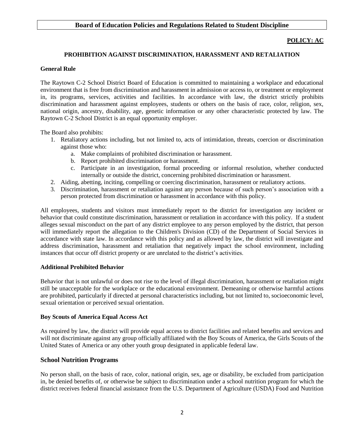# **Board of Education Policies and Regulations Related to Student Discipline**

#### **POLICY: AC**

#### **PROHIBITION AGAINST DISCRIMINATION, HARASSMENT AND RETALIATION**

#### **General Rule**

The Raytown C-2 School District Board of Education is committed to maintaining a workplace and educational environment that is free from discrimination and harassment in admission or access to, or treatment or employment in, its programs, services, activities and facilities. In accordance with law, the district strictly prohibits discrimination and harassment against employees, students or others on the basis of race, color, religion, sex, national origin, ancestry, disability, age, genetic information or any other characteristic protected by law. The Raytown C-2 School District is an equal opportunity employer.

The Board also prohibits:

- 1. Retaliatory actions including, but not limited to, acts of intimidation, threats, coercion or discrimination against those who:
	- a. Make complaints of prohibited discrimination or harassment.
	- b. Report prohibited discrimination or harassment.
	- c. Participate in an investigation, formal proceeding or informal resolution, whether conducted internally or outside the district, concerning prohibited discrimination or harassment.
- 2. Aiding, abetting, inciting, compelling or coercing discrimination, harassment or retaliatory actions.
- 3. Discrimination, harassment or retaliation against any person because of such person's association with a person protected from discrimination or harassment in accordance with this policy.

All employees, students and visitors must immediately report to the district for investigation any incident or behavior that could constitute discrimination, harassment or retaliation in accordance with this policy. If a student alleges sexual misconduct on the part of any district employee to any person employed by the district, that person will immediately report the allegation to the Children's Division (CD) of the Department of Social Services in accordance with state law. In accordance with this policy and as allowed by law, the district will investigate and address discrimination, harassment and retaliation that negatively impact the school environment, including instances that occur off district property or are unrelated to the district's activities.

#### **Additional Prohibited Behavior**

Behavior that is not unlawful or does not rise to the level of illegal discrimination, harassment or retaliation might still be unacceptable for the workplace or the educational environment. Demeaning or otherwise harmful actions are prohibited, particularly if directed at personal characteristics including, but not limited to, socioeconomic level, sexual orientation or perceived sexual orientation.

#### **Boy Scouts of America Equal Access Act**

As required by law, the district will provide equal access to district facilities and related benefits and services and will not discriminate against any group officially affiliated with the Boy Scouts of America, the Girls Scouts of the United States of America or any other youth group designated in applicable federal law.

# **School Nutrition Programs**

No person shall, on the basis of race, color, national origin, sex, age or disability, be excluded from participation in, be denied benefits of, or otherwise be subject to discrimination under a school nutrition program for which the district receives federal financial assistance from the U.S. Department of Agriculture (USDA) Food and Nutrition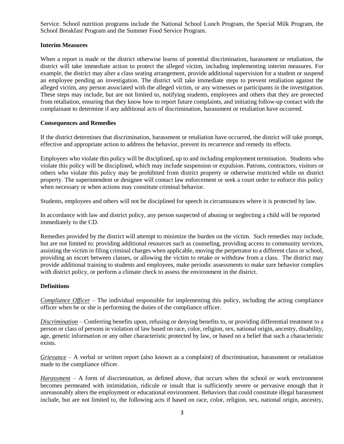Service. School nutrition programs include the National School Lunch Program, the Special Milk Program, the School Breakfast Program and the Summer Food Service Program.

# **Interim Measures**

When a report is made or the district otherwise learns of potential discrimination, harassment or retaliation, the district will take immediate action to protect the alleged victim, including implementing interim measures. For example, the district may alter a class seating arrangement, provide additional supervision for a student or suspend an employee pending an investigation. The district will take immediate steps to prevent retaliation against the alleged victim, any person associated with the alleged victim, or any witnesses or participants in the investigation. These steps may include, but are not limited to, notifying students, employees and others that they are protected from retaliation, ensuring that they know how to report future complaints, and initiating follow-up contact with the complainant to determine if any additional acts of discrimination, harassment or retaliation have occurred.

# **Consequences and Remedies**

If the district determines that discrimination, harassment or retaliation have occurred, the district will take prompt, effective and appropriate action to address the behavior, prevent its recurrence and remedy its effects.

Employees who violate this policy will be disciplined, up to and including employment termination. Students who violate this policy will be disciplined, which may include suspension or expulsion. Patrons, contractors, visitors or others who violate this policy may be prohibited from district property or otherwise restricted while on district property. The superintendent or designee will contact law enforcement or seek a court order to enforce this policy when necessary or when actions may constitute criminal behavior.

Students, employees and others will not be disciplined for speech in circumstances where it is protected by law.

In accordance with law and district policy, any person suspected of abusing or neglecting a child will be reported immediately to the CD.

Remedies provided by the district will attempt to minimize the burden on the victim. Such remedies may include, but are not limited to: providing additional resources such as counseling, providing access to community services, assisting the victim in filing criminal charges when applicable, moving the perpetrator to a different class or school, providing an escort between classes, or allowing the victim to retake or withdraw from a class. The district may provide additional training to students and employees, make periodic assessments to make sure behavior complies with district policy, or perform a climate check to assess the environment in the district.

# **Definitions**

*Compliance Officer* – The individual responsible for implementing this policy, including the acting compliance officer when he or she is performing the duties of the compliance officer.

*Discrimination* – Conferring benefits upon, refusing or denying benefits to, or providing differential treatment to a person or class of persons in violation of law based on race, color, religion, sex, national origin, ancestry, disability, age, genetic information or any other characteristic protected by law, or based on a belief that such a characteristic exists.

*Grievance* – A verbal or written report (also known as a complaint) of discrimination, harassment or retaliation made to the compliance officer.

*Harassment* – A form of discrimination, as defined above, that occurs when the school or work environment becomes permeated with intimidation, ridicule or insult that is sufficiently severe or pervasive enough that it unreasonably alters the employment or educational environment. Behaviors that could constitute illegal harassment include, but are not limited to, the following acts if based on race, color, religion, sex, national origin, ancestry,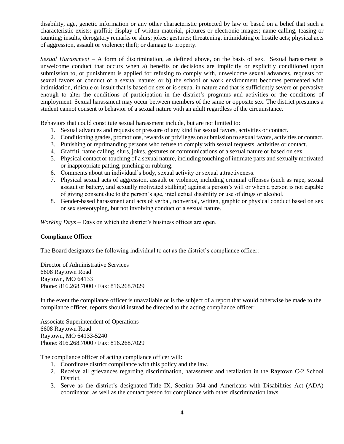disability, age, genetic information or any other characteristic protected by law or based on a belief that such a characteristic exists: graffiti; display of written material, pictures or electronic images; name calling, teasing or taunting; insults, derogatory remarks or slurs; jokes; gestures; threatening, intimidating or hostile acts; physical acts of aggression, assault or violence; theft; or damage to property.

*Sexual Harassment* – A form of discrimination, as defined above, on the basis of sex. Sexual harassment is unwelcome conduct that occurs when a) benefits or decisions are implicitly or explicitly conditioned upon submission to, or punishment is applied for refusing to comply with, unwelcome sexual advances, requests for sexual favors or conduct of a sexual nature; or b) the school or work environment becomes permeated with intimidation, ridicule or insult that is based on sex or is sexual in nature and that is sufficiently severe or pervasive enough to alter the conditions of participation in the district's programs and activities or the conditions of employment. Sexual harassment may occur between members of the same or opposite sex. The district presumes a student cannot consent to behavior of a sexual nature with an adult regardless of the circumstance.

Behaviors that could constitute sexual harassment include, but are not limited to:

- 1. Sexual advances and requests or pressure of any kind for sexual favors, activities or contact.
- 2. Conditioning grades, promotions, rewards or privileges on submission to sexual favors, activities or contact.
- 3. Punishing or reprimanding persons who refuse to comply with sexual requests, activities or contact.
- 4. Graffiti, name calling, slurs, jokes, gestures or communications of a sexual nature or based on sex.
- 5. Physical contact or touching of a sexual nature, including touching of intimate parts and sexually motivated or inappropriate patting, pinching or rubbing.
- 6. Comments about an individual's body, sexual activity or sexual attractiveness.
- 7. Physical sexual acts of aggression, assault or violence, including criminal offenses (such as rape, sexual assault or battery, and sexually motivated stalking) against a person's will or when a person is not capable of giving consent due to the person's age, intellectual disability or use of drugs or alcohol.
- 8. Gender-based harassment and acts of verbal, nonverbal, written, graphic or physical conduct based on sex or sex stereotyping, but not involving conduct of a sexual nature.

*Working Days* – Days on which the district's business offices are open.

# **Compliance Officer**

The Board designates the following individual to act as the district's compliance officer:

Director of Administrative Services 6608 Raytown Road Raytown, MO 64133 Phone: 816.268.7000 / Fax: 816.268.7029

In the event the compliance officer is unavailable or is the subject of a report that would otherwise be made to the compliance officer, reports should instead be directed to the acting compliance officer:

Associate Superintendent of Operations 6608 Raytown Road Raytown, MO 64133-5240 Phone: 816.268.7000 / Fax: 816.268.7029

The compliance officer of acting compliance officer will:

- 1. Coordinate district compliance with this policy and the law.
- 2. Receive all grievances regarding discrimination, harassment and retaliation in the Raytown C-2 School District.
- 3. Serve as the district's designated Title IX, Section 504 and Americans with Disabilities Act (ADA) coordinator, as well as the contact person for compliance with other discrimination laws.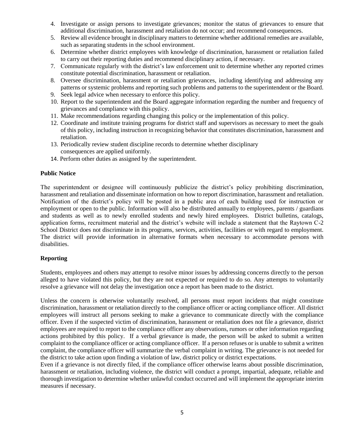- 4. Investigate or assign persons to investigate grievances; monitor the status of grievances to ensure that additional discrimination, harassment and retaliation do not occur; and recommend consequences.
- 5. Review all evidence brought in disciplinary matters to determine whether additional remedies are available, such as separating students in the school environment.
- 6. Determine whether district employees with knowledge of discrimination, harassment or retaliation failed to carry out their reporting duties and recommend disciplinary action, if necessary.
- 7. Communicate regularly with the district's law enforcement unit to determine whether any reported crimes constitute potential discrimination, harassment or retaliation.
- 8. Oversee discrimination, harassment or retaliation grievances, including identifying and addressing any patterns or systemic problems and reporting such problems and patterns to the superintendent or the Board.
- 9. Seek legal advice when necessary to enforce this policy.
- 10. Report to the superintendent and the Board aggregate information regarding the number and frequency of grievances and compliance with this policy.
- 11. Make recommendations regarding changing this policy or the implementation of this policy.
- 12. Coordinate and institute training programs for district staff and supervisors as necessary to meet the goals of this policy, including instruction in recognizing behavior that constitutes discrimination, harassment and retaliation.
- 13. Periodically review student discipline records to determine whether disciplinary consequences are applied uniformly.
- 14. Perform other duties as assigned by the superintendent.

#### **Public Notice**

The superintendent or designee will continuously publicize the district's policy prohibiting discrimination, harassment and retaliation and disseminate information on how to report discrimination, harassment and retaliation. Notification of the district's policy will be posted in a public area of each building used for instruction or employment or open to the public. Information will also be distributed annually to employees, parents / guardians and students as well as to newly enrolled students and newly hired employees. District bulletins, catalogs, application forms, recruitment material and the district's website will include a statement that the Raytown C-2 School District does not discriminate in its programs, services, activities, facilities or with regard to employment. The district will provide information in alternative formats when necessary to accommodate persons with disabilities.

# **Reporting**

Students, employees and others may attempt to resolve minor issues by addressing concerns directly to the person alleged to have violated this policy, but they are not expected or required to do so. Any attempts to voluntarily resolve a grievance will not delay the investigation once a report has been made to the district.

Unless the concern is otherwise voluntarily resolved, all persons must report incidents that might constitute discrimination, harassment or retaliation directly to the compliance officer or acting compliance officer. All district employees will instruct all persons seeking to make a grievance to communicate directly with the compliance officer. Even if the suspected victim of discrimination, harassment or retaliation does not file a grievance, district employees are required to report to the compliance officer any observations, rumors or other information regarding actions prohibited by this policy. If a verbal grievance is made, the person will be asked to submit a written complaint to the compliance officer or acting compliance officer. If a person refuses or is unable to submit a written complaint, the compliance officer will summarize the verbal complaint in writing. The grievance is not needed for the district to take action upon finding a violation of law, district policy or district expectations.

Even if a grievance is not directly filed, if the compliance officer otherwise learns about possible discrimination, harassment or retaliation, including violence, the district will conduct a prompt, impartial, adequate, reliable and thorough investigation to determine whether unlawful conduct occurred and will implement the appropriate interim measures if necessary.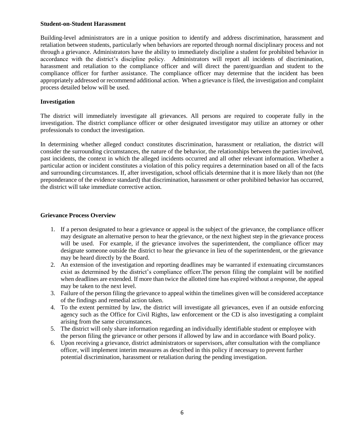#### **Student-on-Student Harassment**

Building-level administrators are in a unique position to identify and address discrimination, harassment and retaliation between students, particularly when behaviors are reported through normal disciplinary process and not through a grievance. Administrators have the ability to immediately discipline a student for prohibited behavior in accordance with the district's discipline policy. Administrators will report all incidents of discrimination, harassment and retaliation to the compliance officer and will direct the parent/guardian and student to the compliance officer for further assistance. The compliance officer may determine that the incident has been appropriately addressed or recommend additional action. When a grievance is filed, the investigation and complaint process detailed below will be used.

# **Investigation**

The district will immediately investigate all grievances. All persons are required to cooperate fully in the investigation. The district compliance officer or other designated investigator may utilize an attorney or other professionals to conduct the investigation.

In determining whether alleged conduct constitutes discrimination, harassment or retaliation, the district will consider the surrounding circumstances, the nature of the behavior, the relationships between the parties involved, past incidents, the context in which the alleged incidents occurred and all other relevant information. Whether a particular action or incident constitutes a violation of this policy requires a determination based on all of the facts and surrounding circumstances. If, after investigation, school officials determine that it is more likely than not (the preponderance of the evidence standard) that discrimination, harassment or other prohibited behavior has occurred, the district will take immediate corrective action.

# **Grievance Process Overview**

- 1. If a person designated to hear a grievance or appeal is the subject of the grievance, the compliance officer may designate an alternative person to hear the grievance, or the next highest step in the grievance process will be used. For example, if the grievance involves the superintendent, the compliance officer may designate someone outside the district to hear the grievance in lieu of the superintendent, or the grievance may be heard directly by the Board.
- 2. An extension of the investigation and reporting deadlines may be warranted if extenuating circumstances exist as determined by the district's compliance officer.The person filing the complaint will be notified when deadlines are extended. If more than twice the allotted time has expired without a response, the appeal may be taken to the next level.
- 3. Failure of the person filing the grievance to appeal within the timelines given will be considered acceptance of the findings and remedial action taken.
- 4. To the extent permitted by law, the district will investigate all grievances, even if an outside enforcing agency such as the Office for Civil Rights, law enforcement or the CD is also investigating a complaint arising from the same circumstances.
- 5. The district will only share information regarding an individually identifiable student or employee with the person filing the grievance or other persons if allowed by law and in accordance with Board policy.
- 6. Upon receiving a grievance, district administrators or supervisors, after consultation with the compliance officer, will implement interim measures as described in this policy if necessary to prevent further potential discrimination, harassment or retaliation during the pending investigation.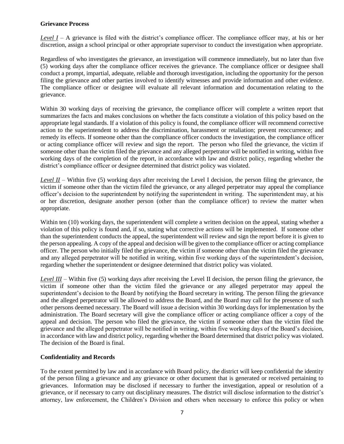#### **Grievance Process**

*Level I* – A grievance is filed with the district's compliance officer. The compliance officer may, at his or her discretion, assign a school principal or other appropriate supervisor to conduct the investigation when appropriate.

Regardless of who investigates the grievance, an investigation will commence immediately, but no later than five (5) working days after the compliance officer receives the grievance. The compliance officer or designee shall conduct a prompt, impartial, adequate, reliable and thorough investigation, including the opportunity for the person filing the grievance and other parties involved to identify witnesses and provide information and other evidence. The compliance officer or designee will evaluate all relevant information and documentation relating to the grievance.

Within 30 working days of receiving the grievance, the compliance officer will complete a written report that summarizes the facts and makes conclusions on whether the facts constitute a violation of this policy based on the appropriate legal standards. If a violation of this policy is found, the compliance officer will recommend corrective action to the superintendent to address the discrimination, harassment or retaliation; prevent reoccurrence; and remedy its effects. If someone other than the compliance officer conducts the investigation, the compliance officer or acting compliance officer will review and sign the report. The person who filed the grievance, the victim if someone other than the victim filed the grievance and any alleged perpetrator will be notified in writing, within five working days of the completion of the report, in accordance with law and district policy, regarding whether the district's compliance officer or designee determined that district policy was violated.

*Level II* – Within five (5) working days after receiving the Level I decision, the person filing the grievance, the victim if someone other than the victim filed the grievance, or any alleged perpetrator may appeal the compliance officer's decision to the superintendent by notifying the superintendent in writing. The superintendent may, at his or her discretion, designate another person (other than the compliance officer) to review the matter when appropriate.

Within ten (10) working days, the superintendent will complete a written decision on the appeal, stating whether a violation of this policy is found and, if so, stating what corrective actions will be implemented. If someone other than the superintendent conducts the appeal, the superintendent will review and sign the report before it is given to the person appealing. A copy of the appeal and decision will be given to the compliance officer or acting compliance officer. The person who initially filed the grievance, the victim if someone other than the victim filed the grievance and any alleged perpetrator will be notified in writing, within five working days of the superintendent's decision, regarding whether the superintendent or designee determined that district policy was violated.

*Level III* – Within five (5) working days after receiving the Level II decision, the person filing the grievance, the victim if someone other than the victim filed the grievance or any alleged perpetrator may appeal the superintendent's decision to the Board by notifying the Board secretary in writing. The person filing the grievance and the alleged perpetrator will be allowed to address the Board, and the Board may call for the presence of such other persons deemed necessary. The Board will issue a decision within 30 working days for implementation by the administration. The Board secretary will give the compliance officer or acting compliance officer a copy of the appeal and decision. The person who filed the grievance, the victim if someone other than the victim filed the grievance and the alleged perpetrator will be notified in writing, within five working days of the Board's decision, in accordance with law and district policy, regarding whether the Board determined that district policy was violated. The decision of the Board is final.

# **Confidentiality and Records**

To the extent permitted by law and in accordance with Board policy, the district will keep confidential the identity of the person filing a grievance and any grievance or other document that is generated or received pertaining to grievances. Information may be disclosed if necessary to further the investigation, appeal or resolution of a grievance, or if necessary to carry out disciplinary measures. The district will disclose information to the district's attorney, law enforcement, the Children's Division and others when necessary to enforce this policy or when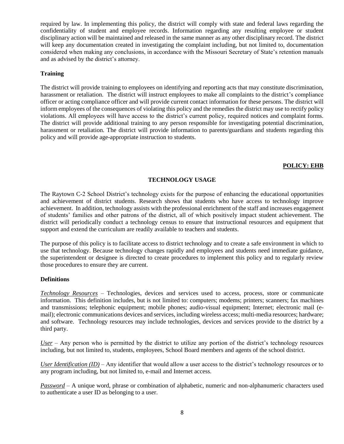required by law. In implementing this policy, the district will comply with state and federal laws regarding the confidentiality of student and employee records. Information regarding any resulting employee or student disciplinary action will be maintained and released in the same manner as any other disciplinary record. The district will keep any documentation created in investigating the complaint including, but not limited to, documentation considered when making any conclusions, in accordance with the Missouri Secretary of State's retention manuals and as advised by the district's attorney.

# **Training**

The district will provide training to employees on identifying and reporting acts that may constitute discrimination, harassment or retaliation. The district will instruct employees to make all complaints to the district's compliance officer or acting compliance officer and will provide current contact information for these persons. The district will inform employees of the consequences of violating this policy and the remedies the district may use to rectify policy violations. All employees will have access to the district's current policy, required notices and complaint forms. The district will provide additional training to any person responsible for investigating potential discrimination, harassment or retaliation. The district will provide information to parents/guardians and students regarding this policy and will provide age-appropriate instruction to students.

#### **POLICY: EHB**

# **TECHNOLOGY USAGE**

The Raytown C-2 School District's technology exists for the purpose of enhancing the educational opportunities and achievement of district students. Research shows that students who have access to technology improve achievement. In addition, technology assists with the professional enrichment of the staff and increases engagement of students' families and other patrons of the district, all of which positively impact student achievement. The district will periodically conduct a technology census to ensure that instructional resources and equipment that support and extend the curriculum are readily available to teachers and students.

The purpose of this policy is to facilitate access to district technology and to create a safe environment in which to use that technology. Because technology changes rapidly and employees and students need immediate guidance, the superintendent or designee is directed to create procedures to implement this policy and to regularly review those procedures to ensure they are current.

# **Definitions**

*Technology Resources* – Technologies, devices and services used to access, process, store or communicate information. This definition includes, but is not limited to: computers; modems; printers; scanners; fax machines and transmissions; telephonic equipment; mobile phones; audio-visual equipment; Internet; electronic mail (email); electronic communications devices and services, including wireless access; multi-media resources; hardware; and software. Technology resources may include technologies, devices and services provide to the district by a third party.

*User* – Any person who is permitted by the district to utilize any portion of the district's technology resources including, but not limited to, students, employees, School Board members and agents of the school district.

*User Identification (ID)* – Any identifier that would allow a user access to the district's technology resources or to any program including, but not limited to, e-mail and Internet access.

*Password* – A unique word, phrase or combination of alphabetic, numeric and non-alphanumeric characters used to authenticate a user ID as belonging to a user.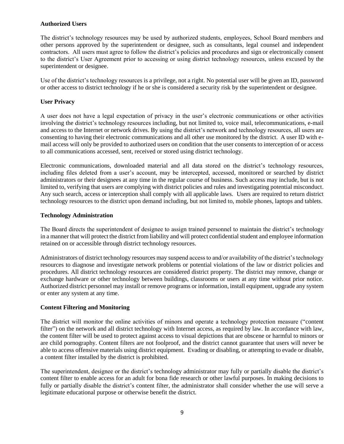# **Authorized Users**

The district's technology resources may be used by authorized students, employees, School Board members and other persons approved by the superintendent or designee, such as consultants, legal counsel and independent contractors. All users must agree to follow the district's policies and procedures and sign or electronically consent to the district's User Agreement prior to accessing or using district technology resources, unless excused by the superintendent or designee.

Use of the district's technology resources is a privilege, not a right. No potential user will be given an ID, password or other access to district technology if he or she is considered a security risk by the superintendent or designee.

# **User Privacy**

A user does not have a legal expectation of privacy in the user's electronic communications or other activities involving the district's technology resources including, but not limited to, voice mail, telecommunications, e-mail and access to the Internet or network drives. By using the district's network and technology resources, all users are consenting to having their electronic communications and all other use monitored by the district. A user ID with email access will only be provided to authorized users on condition that the user consents to interception of or access to all communications accessed, sent, received or stored using district technology.

Electronic communications, downloaded material and all data stored on the district's technology resources, including files deleted from a user's account, may be intercepted, accessed, monitored or searched by district administrators or their designees at any time in the regular course of business. Such access may include, but is not limited to, verifying that users are complying with district policies and rules and investigating potential misconduct. Any such search, access or interception shall comply with all applicable laws. Users are required to return district technology resources to the district upon demand including, but not limited to, mobile phones, laptops and tablets.

#### **Technology Administration**

The Board directs the superintendent of designee to assign trained personnel to maintain the district's technology in a manner that will protect the district from liability and will protect confidential student and employee information retained on or accessible through district technology resources.

Administrators of district technology resources may suspend access to and/or availability of the district's technology resources to diagnose and investigate network problems or potential violations of the law or district policies and procedures. All district technology resources are considered district property. The district may remove, change or exchange hardware or other technology between buildings, classrooms or users at any time without prior notice. Authorized district personnel may install or remove programs or information, install equipment, upgrade any system or enter any system at any time.

#### **Content Filtering and Monitoring**

The district will monitor the online activities of minors and operate a technology protection measure ("content filter") on the network and all district technology with Internet access, as required by law. In accordance with law, the content filter will be used to protect against access to visual depictions that are obscene or harmful to minors or are child pornography. Content filters are not foolproof, and the district cannot guarantee that users will never be able to access offensive materials using district equipment. Evading or disabling, or attempting to evade or disable, a content filter installed by the district is prohibited.

The superintendent, designee or the district's technology administrator may fully or partially disable the district's content filter to enable access for an adult for bona fide research or other lawful purposes. In making decisions to fully or partially disable the district's content filter, the administrator shall consider whether the use will serve a legitimate educational purpose or otherwise benefit the district.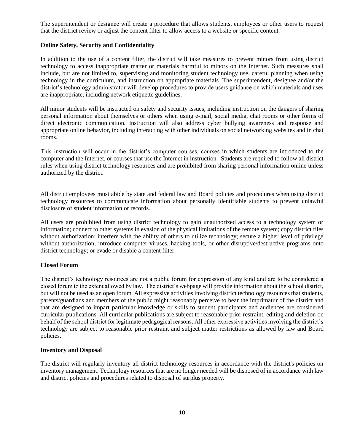The superintendent or designee will create a procedure that allows students, employees or other users to request that the district review or adjust the content filter to allow access to a website or specific content.

# **Online Safety, Security and Confidentiality**

In addition to the use of a content filter, the district will take measures to prevent minors from using district technology to access inappropriate matter or materials harmful to minors on the Internet. Such measures shall include, but are not limited to, supervising and monitoring student technology use, careful planning when using technology in the curriculum, and instruction on appropriate materials. The superintendent, designee and/or the district's technology administrator will develop procedures to provide users guidance on which materials and uses are inappropriate, including network etiquette guidelines.

All minor students will be instructed on safety and security issues, including instruction on the dangers of sharing personal information about themselves or others when using e-mail, social media, chat rooms or other forms of direct electronic communication. Instruction will also address cyber bullying awareness and response and appropriate online behavior, including interacting with other individuals on social networking websites and in chat rooms.

This instruction will occur in the district's computer courses, courses in which students are introduced to the computer and the Internet, or courses that use the Internet in instruction. Students are required to follow all district rules when using district technology resources and are prohibited from sharing personal information online unless authorized by the district.

All district employees must abide by state and federal law and Board policies and procedures when using district technology resources to communicate information about personally identifiable students to prevent unlawful disclosure of student information or records.

All users are prohibited from using district technology to gain unauthorized access to a technology system or information; connect to other systems in evasion of the physical limitations of the remote system; copy district files without authorization; interfere with the ability of others to utilize technology; secure a higher level of privilege without authorization; introduce computer viruses, hacking tools, or other disruptive/destructive programs onto district technology; or evade or disable a content filter.

# **Closed Forum**

The district's technology resources are not a public forum for expression of any kind and are to be considered a closed forum to the extent allowed by law. The district's webpage will provide information about the school district, but will not be used as an open forum. All expressive activities involving district technology resources that students, parents/guardians and members of the public might reasonably perceive to bear the imprimatur of the district and that are designed to impart particular knowledge or skills to student participants and audiences are considered curricular publications. All curricular publications are subject to reasonable prior restraint, editing and deletion on behalf of the school district for legitimate pedagogical reasons. All other expressive activities involving the district's technology are subject to reasonable prior restraint and subject matter restrictions as allowed by law and Board policies.

# **Inventory and Disposal**

The district will regularly inventory all district technology resources in accordance with the district's policies on inventory management. Technology resources that are no longer needed will be disposed of in accordance with law and district policies and procedures related to disposal of surplus property.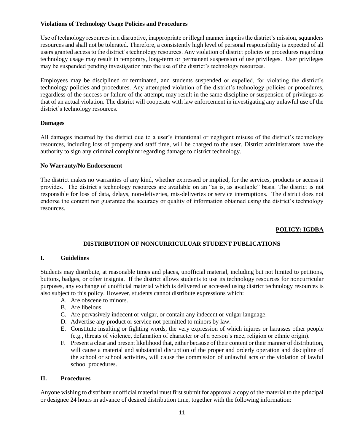# **Violations of Technology Usage Policies and Procedures**

Use of technology resources in a disruptive, inappropriate or illegal manner impairs the district's mission, squanders resources and shall not be tolerated. Therefore, a consistently high level of personal responsibility is expected of all users granted access to the district's technology resources. Any violation of district policies or procedures regarding technology usage may result in temporary, long-term or permanent suspension of use privileges. User privileges may be suspended pending investigation into the use of the district's technology resources.

Employees may be disciplined or terminated, and students suspended or expelled, for violating the district's technology policies and procedures. Any attempted violation of the district's technology policies or procedures, regardless of the success or failure of the attempt, may result in the same discipline or suspension of privileges as that of an actual violation. The district will cooperate with law enforcement in investigating any unlawful use of the district's technology resources.

# **Damages**

All damages incurred by the district due to a user's intentional or negligent misuse of the district's technology resources, including loss of property and staff time, will be charged to the user. District administrators have the authority to sign any criminal complaint regarding damage to district technology.

# **No Warranty/No Endorsement**

The district makes no warranties of any kind, whether expressed or implied, for the services, products or access it provides. The district's technology resources are available on an "as is, as available" basis. The district is not responsible for loss of data, delays, non-deliveries, mis-deliveries or service interruptions. The district does not endorse the content nor guarantee the accuracy or quality of information obtained using the district's technology resources.

# **POLICY: IGDBA**

# **DISTRIBUTION OF NONCURRICULUAR STUDENT PUBLICATIONS**

# **I. Guidelines**

Students may distribute, at reasonable times and places, unofficial material, including but not limited to petitions, buttons, badges, or other insignia. If the district allows students to use its technology resources for noncurricular purposes, any exchange of unofficial material which is delivered or accessed using district technology resources is also subject to this policy. However, students cannot distribute expressions which:

- A. Are obscene to minors.
- B. Are libelous.
- C. Are pervasively indecent or vulgar, or contain any indecent or vulgar language.
- D. Advertise any product or service not permitted to minors by law.
- E. Constitute insulting or fighting words, the very expression of which injures or harasses other people (e.g., threats of violence, defamation of character or of a person's race, religion or ethnic origin).
- F. Present a clear and present likelihood that, either because of their content or their manner of distribution, will cause a material and substantial disruption of the proper and orderly operation and discipline of the school or school activities, will cause the commission of unlawful acts or the violation of lawful school procedures.

#### **II. Procedures**

Anyone wishing to distribute unofficial material must first submit for approval a copy of the material to the principal or designee 24 hours in advance of desired distribution time, together with the following information: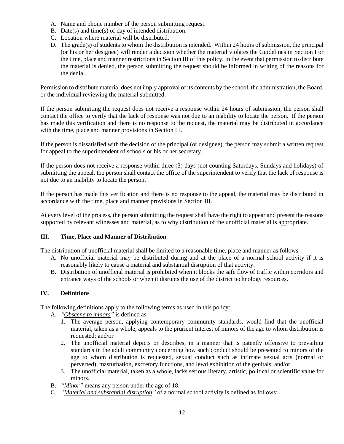- A. Name and phone number of the person submitting request.
- B. Date(s) and time(s) of day of intended distribution.
- C. Location where material will be distributed.
- D. The grade(s) of students to whom the distribution is intended. Within 24 hours of submission, the principal (or his or her designee) will render a decision whether the material violates the Guidelines in Section I or the time, place and manner restrictions in Section III of this policy. In the event that permission to distribute the material is denied, the person submitting the request should be informed in writing of the reasons for the denial.

Permission to distribute material does not imply approval of its contents by the school, the administration, the Board, or the individual reviewing the material submitted.

If the person submitting the request does not receive a response within 24 hours of submission, the person shall contact the office to verify that the lack of response was not due to an inability to locate the person. If the person has made this verification and there is no response to the request, the material may be distributed in accordance with the time, place and manner provisions in Section III.

If the person is dissatisfied with the decision of the principal (or designee), the person may submit a written request for appeal to the superintendent of schools or his or her secretary.

If the person does not receive a response within three (3) days (not counting Saturdays, Sundays and holidays) of submitting the appeal, the person shall contact the office of the superintendent to verify that the lack of response is not due to an inability to locate the person.

If the person has made this verification and there is no response to the appeal, the material may be distributed in accordance with the time, place and manner provisions in Section III.

At every level of the process, the person submitting the request shall have the right to appear and present the reasons supported by relevant witnesses and material, as to why distribution of the unofficial material is appropriate.

# **III. Time, Place and Manner of Distribution**

The distribution of unofficial material shall be limited to a reasonable time, place and manner as follows:

- A. No unofficial material may be distributed during and at the place of a normal school activity if it is reasonably likely to cause a material and substantial disruption of that activity.
- B. Distribution of unofficial material is prohibited when it blocks the safe flow of traffic within corridors and entrance ways of the schools or when it disrupts the use of the district technology resources.

# **IV. Definitions**

The following definitions apply to the following terms as used in this policy:

A. *"Obscene to minors"* is defined as:

- 1. The average person, applying contemporary community standards, would find that the unofficial material, taken as a whole, appeals to the prurient interest of minors of the age to whom distribution is requested; and/or
- 2. The unofficial material depicts or describes, in a manner that is patently offensive to prevailing standards in the adult community concerning how such conduct should be presented to minors of the age to whom distribution is requested, sexual conduct such as intimate sexual acts (normal or perverted), masturbation, excretory functions, and lewd exhibition of the genitals; and/or
- 3. The unofficial material, taken as a whole, lacks serious literary, artistic, political or scientific value for minors.
- B. *"Minor"* means any person under the age of 18.
- C. *"Material and substantial disruption"* of a normal school activity is defined as follows: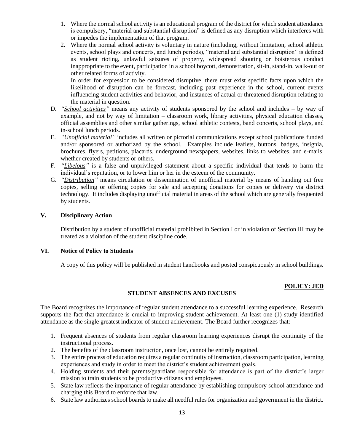- 1. Where the normal school activity is an educational program of the district for which student attendance is compulsory, "material and substantial disruption" is defined as any disruption which interferes with or impedes the implementation of that program.
- 2. Where the normal school activity is voluntary in nature (including, without limitation, school athletic events, school plays and concerts, and lunch periods), "material and substantial disruption" is defined as student rioting, unlawful seizures of property, widespread shouting or boisterous conduct inappropriate to the event, participation in a school boycott, demonstration, sit-in, stand-in, walk-out or other related forms of activity.

In order for expression to be considered disruptive, there must exist specific facts upon which the likelihood of disruption can be forecast, including past experience in the school, current events influencing student activities and behavior, and instances of actual or threatened disruption relating to the material in question.

- D. *"School activities"* means any activity of students sponsored by the school and includes by way of example, and not by way of limitation – classroom work, library activities, physical education classes, official assemblies and other similar gatherings, school athletic contests, band concerts, school plays, and in-school lunch periods.
- E. *"Unofficial material"* includes all written or pictorial communications except school publications funded and/or sponsored or authorized by the school. Examples include leaflets, buttons, badges, insignia, brochures, flyers, petitions, placards, underground newspapers, websites, links to websites, and e-mails, whether created by students or others.
- F. *"Libelous"* is a false and unprivileged statement about a specific individual that tends to harm the individual's reputation, or to lower him or her in the esteem of the community.
- G. *"Distribution"* means circulation or dissemination of unofficial material by means of handing out free copies, selling or offering copies for sale and accepting donations for copies or delivery via district technology. It includes displaying unofficial material in areas of the school which are generally frequented by students.

# **V. Disciplinary Action**

Distribution by a student of unofficial material prohibited in Section I or in violation of Section III may be treated as a violation of the student discipline code.

# **VI. Notice of Policy to Students**

A copy of this policy will be published in student handbooks and posted conspicuously in school buildings.

# **POLICY: JED**

# **STUDENT ABSENCES AND EXCUSES**

The Board recognizes the importance of regular student attendance to a successful learning experience. Research supports the fact that attendance is crucial to improving student achievement. At least one (1) study identified attendance as the single greatest indicator of student achievement. The Board further recognizes that:

- 1. Frequent absences of students from regular classroom learning experiences disrupt the continuity of the instructional process.
- 2. The benefits of the classroom instruction, once lost, cannot be entirely regained.
- 3. The entire process of education requires a regular continuity of instruction, classroom participation, learning experiences and study in order to meet the district's student achievement goals.
- 4. Holding students and their parents/guardians responsible for attendance is part of the district's larger mission to train students to be productive citizens and employees.
- 5. State law reflects the importance of regular attendance by establishing compulsory school attendance and charging this Board to enforce that law.
- 6. State law authorizes school boards to make all needful rules for organization and government in the district.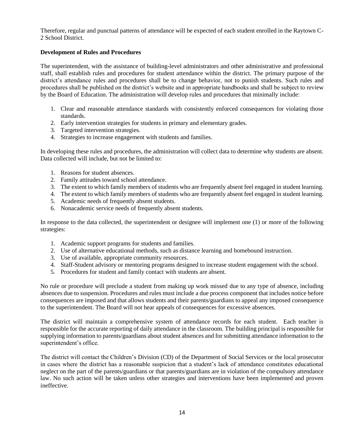Therefore, regular and punctual patterns of attendance will be expected of each student enrolled in the Raytown C-2 School District.

# **Development of Rules and Procedures**

The superintendent, with the assistance of building-level administrators and other administrative and professional staff, shall establish rules and procedures for student attendance within the district. The primary purpose of the district's attendance rules and procedures shall be to change behavior, not to punish students. Such rules and procedures shall be published on the district's website and in appropriate handbooks and shall be subject to review by the Board of Education. The administration will develop rules and procedures that minimally include:

- 1. Clear and reasonable attendance standards with consistently enforced consequences for violating those standards.
- 2. Early intervention strategies for students in primary and elementary grades.
- 3. Targeted intervention strategies.
- 4. Strategies to increase engagement with students and families.

In developing these rules and procedures, the administration will collect data to determine why students are absent. Data collected will include, but not be limited to:

- 1. Reasons for student absences.
- 2. Family attitudes toward school attendance.
- 3. The extent to which family members of students who are frequently absent feel engaged in student learning.
- 4. The extent to which family members of students who are frequently absent feel engaged in student learning.
- 5. Academic needs of frequently absent students.
- 6. Nonacademic service needs of frequently absent students.

In response to the data collected, the superintendent or designee will implement one (1) or more of the following strategies:

- 1. Academic support programs for students and families.
- 2. Use of alternative educational methods, such as distance learning and homebound instruction.
- 3. Use of available, appropriate community resources.
- 4. Staff-Student advisory or mentoring programs designed to increase student engagement with the school.
- 5. Procedures for student and family contact with students are absent.

No rule or procedure will preclude a student from making up work missed due to any type of absence, including absences due to suspension. Procedures and rules must include a due process component that includes notice before consequences are imposed and that allows students and their parents/guardians to appeal any imposed consequence to the superintendent. The Board will not hear appeals of consequences for excessive absences.

The district will maintain a comprehensive system of attendance records for each student. Each teacher is responsible for the accurate reporting of daily attendance in the classroom. The building principal is responsible for supplying information to parents/guardians about student absences and for submitting attendance information to the superintendent's office.

The district will contact the Children's Division (CD) of the Department of Social Services or the local prosecutor in cases where the district has a reasonable suspicion that a student's lack of attendance constitutes educational neglect on the part of the parents/guardians or that parents/guardians are in violation of the compulsory attendance law. No such action will be taken unless other strategies and interventions have been implemented and proven ineffective.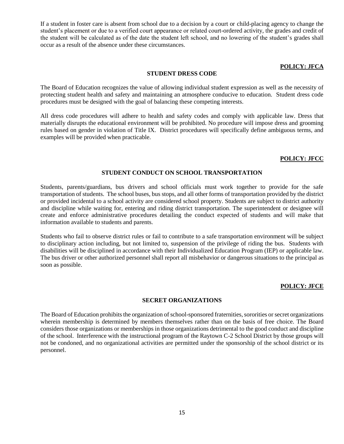If a student in foster care is absent from school due to a decision by a court or child-placing agency to change the student's placement or due to a verified court appearance or related court-ordered activity, the grades and credit of the student will be calculated as of the date the student left school, and no lowering of the student's grades shall occur as a result of the absence under these circumstances.

# **POLICY: JFCA**

# **STUDENT DRESS CODE**

The Board of Education recognizes the value of allowing individual student expression as well as the necessity of protecting student health and safety and maintaining an atmosphere conducive to education. Student dress code procedures must be designed with the goal of balancing these competing interests.

All dress code procedures will adhere to health and safety codes and comply with applicable law. Dress that materially disrupts the educational environment will be prohibited. No procedure will impose dress and grooming rules based on gender in violation of Title IX. District procedures will specifically define ambiguous terms, and examples will be provided when practicable.

# **POLICY: JFCC**

# **STUDENT CONDUCT ON SCHOOL TRANSPORTATION**

Students, parents/guardians, bus drivers and school officials must work together to provide for the safe transportation of students. The school buses, bus stops, and all other forms of transportation provided by the district or provided incidental to a school activity are considered school property. Students are subject to district authority and discipline while waiting for, entering and riding district transportation. The superintendent or designee will create and enforce administrative procedures detailing the conduct expected of students and will make that information available to students and parents.

Students who fail to observe district rules or fail to contribute to a safe transportation environment will be subject to disciplinary action including, but not limited to, suspension of the privilege of riding the bus. Students with disabilities will be disciplined in accordance with their Individualized Education Program (IEP) or applicable law. The bus driver or other authorized personnel shall report all misbehavior or dangerous situations to the principal as soon as possible.

# **POLICY: JFCE**

# **SECRET ORGANIZATIONS**

The Board of Education prohibits the organization of school-sponsored fraternities, sororities or secret organizations wherein membership is determined by members themselves rather than on the basis of free choice. The Board considers those organizations or memberships in those organizations detrimental to the good conduct and discipline of the school. Interference with the instructional program of the Raytown C-2 School District by those groups will not be condoned, and no organizational activities are permitted under the sponsorship of the school district or its personnel.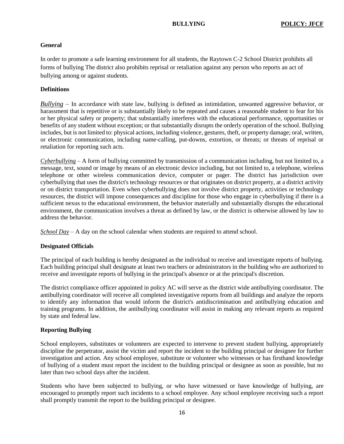# **General**

In order to promote a safe learning environment for all students, the Raytown C-2 School District prohibits all forms of bullying The district also prohibits reprisal or retaliation against any person who reports an act of bullying among or against students.

# **Definitions**

*Bullying* – In accordance with state law, bullying is defined as intimidation, unwanted aggressive behavior, or harassment that is repetitive or is substantially likely to be repeated and causes a reasonable student to fear for his or her physical safety or property; that substantially interferes with the educational performance, opportunities or benefits of any student without exception; or that substantially disrupts the orderly operation of the school. Bullying includes, but is not limited to: physical actions, including violence, gestures, theft, or property damage; oral, written, or electronic communication, including name-calling, put-downs, extortion, or threats; or threats of reprisal or retaliation for reporting such acts.

*Cyberbullying* – A form of bullying committed by transmission of a communication including, but not limited to, a message, text, sound or image by means of an electronic device including, but not limited to, a telephone, wireless telephone or other wireless communication device, computer or pager. The district has jurisdiction over cyberbullying that uses the district's technology resources or that originates on district property, at a district activity or on district transportation. Even when cyberbullying does not involve district property, activities or technology resources, the district will impose consequences and discipline for those who engage in cyberbullying if there is a sufficient nexus to the educational environment, the behavior materially and substantially disrupts the educational environment, the communication involves a threat as defined by law, or the district is otherwise allowed by law to address the behavior.

*School Day* – A day on the school calendar when students are required to attend school.

#### **Designated Officials**

The principal of each building is hereby designated as the individual to receive and investigate reports of bullying. Each building principal shall designate at least two teachers or administrators in the building who are authorized to receive and investigate reports of bullying in the principal's absence or at the principal's discretion.

The district compliance officer appointed in policy AC will serve as the district wide antibullying coordinator. The antibullying coordinator will receive all completed investigative reports from all buildings and analyze the reports to identify any information that would inform the district's antidiscrimination and antibullying education and training programs. In addition, the antibullying coordinator will assist in making any relevant reports as required by state and federal law.

# **Reporting Bullying**

School employees, substitutes or volunteers are expected to intervene to prevent student bullying, appropriately discipline the perpetrator, assist the victim and report the incident to the building principal or designee for further investigation and action. Any school employee, substitute or volunteer who witnesses or has firsthand knowledge of bullying of a student must report the incident to the building principal or designee as soon as possible, but no later than two school days after the incident.

Students who have been subjected to bullying, or who have witnessed or have knowledge of bullying, are encouraged to promptly report such incidents to a school employee. Any school employee receiving such a report shall promptly transmit the report to the building principal or designee.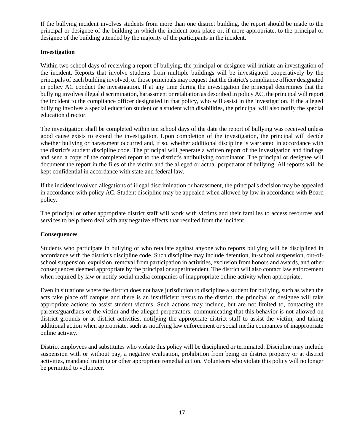If the bullying incident involves students from more than one district building, the report should be made to the principal or designee of the building in which the incident took place or, if more appropriate, to the principal or designee of the building attended by the majority of the participants in the incident.

# **Investigation**

Within two school days of receiving a report of bullying, the principal or designee will initiate an investigation of the incident. Reports that involve students from multiple buildings will be investigated cooperatively by the principals of each building involved, or those principals may request that the district's compliance officer designated in policy AC conduct the investigation. If at any time during the investigation the principal determines that the bullying involves illegal discrimination, harassment or retaliation as described in policy AC, the principal will report the incident to the compliance officer designated in that policy, who will assist in the investigation. If the alleged bullying involves a special education student or a student with disabilities, the principal will also notify the special education director.

The investigation shall be completed within ten school days of the date the report of bullying was received unless good cause exists to extend the investigation. Upon completion of the investigation, the principal will decide whether bullying or harassment occurred and, if so, whether additional discipline is warranted in accordance with the district's student discipline code. The principal will generate a written report of the investigation and findings and send a copy of the completed report to the district's antibullying coordinator. The principal or designee will document the report in the files of the victim and the alleged or actual perpetrator of bullying. All reports will be kept confidential in accordance with state and federal law.

If the incident involved allegations of illegal discrimination or harassment, the principal's decision may be appealed in accordance with policy AC. Student discipline may be appealed when allowed by law in accordance with Board policy.

The principal or other appropriate district staff will work with victims and their families to access resources and services to help them deal with any negative effects that resulted from the incident.

# **Consequences**

Students who participate in bullying or who retaliate against anyone who reports bullying will be disciplined in accordance with the district's discipline code. Such discipline may include detention, in-school suspension, out-ofschool suspension, expulsion, removal from participation in activities, exclusion from honors and awards, and other consequences deemed appropriate by the principal or superintendent. The district will also contact law enforcement when required by law or notify social media companies of inappropriate online activity when appropriate.

Even in situations where the district does not have jurisdiction to discipline a student for bullying, such as when the acts take place off campus and there is an insufficient nexus to the district, the principal or designee will take appropriate actions to assist student victims. Such actions may include, but are not limited to, contacting the parents/guardians of the victim and the alleged perpetrators, communicating that this behavior is not allowed on district grounds or at district activities, notifying the appropriate district staff to assist the victim, and taking additional action when appropriate, such as notifying law enforcement or social media companies of inappropriate online activity.

District employees and substitutes who violate this policy will be disciplined or terminated. Discipline may include suspension with or without pay, a negative evaluation, prohibition from being on district property or at district activities, mandated training or other appropriate remedial action. Volunteers who violate this policy will no longer be permitted to volunteer.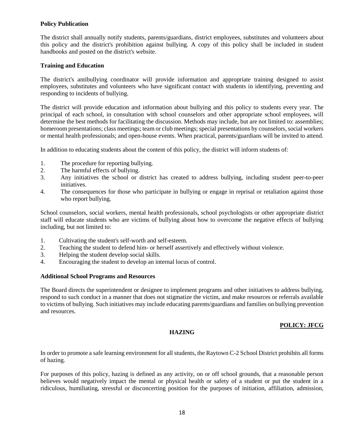# **Policy Publication**

The district shall annually notify students, parents/guardians, district employees, substitutes and volunteers about this policy and the district's prohibition against bullying. A copy of this policy shall be included in student handbooks and posted on the district's website.

# **Training and Education**

The district's antibullying coordinator will provide information and appropriate training designed to assist employees, substitutes and volunteers who have significant contact with students in identifying, preventing and responding to incidents of bullying.

The district will provide education and information about bullying and this policy to students every year. The principal of each school, in consultation with school counselors and other appropriate school employees, will determine the best methods for facilitating the discussion. Methods may include, but are not limited to: assemblies; homeroom presentations; class meetings; team or club meetings; special presentations by counselors, social workers or mental health professionals; and open-house events. When practical, parents/guardians will be invited to attend.

In addition to educating students about the content of this policy, the district will inform students of:

- 1. The procedure for reporting bullying.
- 2. The harmful effects of bullying.<br>3. Any initiatives the school or  $\alpha$
- 3. Any initiatives the school or district has created to address bullying, including student peer-to-peer initiatives.
- 4. The consequences for those who participate in bullying or engage in reprisal or retaliation against those who report bullying.

School counselors, social workers, mental health professionals, school psychologists or other appropriate district staff will educate students who are victims of bullying about how to overcome the negative effects of bullying including, but not limited to:

- 1. Cultivating the student's self-worth and self-esteem.
- 2. Teaching the student to defend him- or herself assertively and effectively without violence.
- 3. Helping the student develop social skills.
- 4. Encouraging the student to develop an internal locus of control.

#### **Additional School Programs and Resources**

The Board directs the superintendent or designee to implement programs and other initiatives to address bullying, respond to such conduct in a manner that does not stigmatize the victim, and make resources or referrals available to victims of bullying. Such initiatives may include educating parents/guardians and families on bullying prevention and resources.

# **POLICY: JFCG**

#### **HAZING**

In order to promote a safe learning environment for all students, the Raytown C-2 School District prohibits all forms of hazing.

For purposes of this policy, hazing is defined as any activity, on or off school grounds, that a reasonable person believes would negatively impact the mental or physical health or safety of a student or put the student in a ridiculous, humiliating, stressful or disconcerting position for the purposes of initiation, affiliation, admission,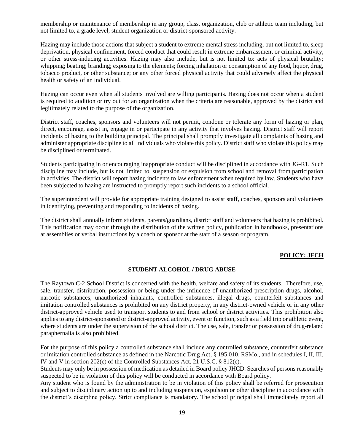membership or maintenance of membership in any group, class, organization, club or athletic team including, but not limited to, a grade level, student organization or district-sponsored activity.

Hazing may include those actions that subject a student to extreme mental stress including, but not limited to, sleep deprivation, physical confinement, forced conduct that could result in extreme embarrassment or criminal activity, or other stress-inducing activities. Hazing may also include, but is not limited to: acts of physical brutality; whipping; beating; branding; exposing to the elements; forcing inhalation or consumption of any food, liquor, drug, tobacco product, or other substance; or any other forced physical activity that could adversely affect the physical health or safety of an individual.

Hazing can occur even when all students involved are willing participants. Hazing does not occur when a student is required to audition or try out for an organization when the criteria are reasonable, approved by the district and legitimately related to the purpose of the organization.

District staff, coaches, sponsors and volunteers will not permit, condone or tolerate any form of hazing or plan, direct, encourage, assist in, engage in or participate in any activity that involves hazing. District staff will report incidents of hazing to the building principal. The principal shall promptly investigate all complaints of hazing and administer appropriate discipline to all individuals who violate this policy. District staff who violate this policy may be disciplined or terminated.

Students participating in or encouraging inappropriate conduct will be disciplined in accordance with JG-R1. Such discipline may include, but is not limited to, suspension or expulsion from school and removal from participation in activities. The district will report hazing incidents to law enforcement when required by law. Students who have been subjected to hazing are instructed to promptly report such incidents to a school official.

The superintendent will provide for appropriate training designed to assist staff, coaches, sponsors and volunteers in identifying, preventing and responding to incidents of hazing.

The district shall annually inform students, parents/guardians, district staff and volunteers that hazing is prohibited. This notification may occur through the distribution of the written policy, publication in handbooks, presentations at assemblies or verbal instructions by a coach or sponsor at the start of a season or program.

#### **POLICY: JFCH**

# **STUDENT ALCOHOL / DRUG ABUSE**

The Raytown C-2 School District is concerned with the health, welfare and safety of its students. Therefore, use, sale, transfer, distribution, possession or being under the influence of unauthorized prescription drugs, alcohol, narcotic substances, unauthorized inhalants, controlled substances, illegal drugs, counterfeit substances and imitation controlled substances is prohibited on any district property, in any district-owned vehicle or in any other district-approved vehicle used to transport students to and from school or district activities. This prohibition also applies to any district-sponsored or district-approved activity, event or function, such as a field trip or athletic event, where students are under the supervision of the school district. The use, sale, transfer or possession of drug-related paraphernalia is also prohibited.

For the purpose of this policy a controlled substance shall include any controlled substance, counterfeit substance or imitation controlled substance as defined in the Narcotic Drug Act, § 195.010, RSMo., and in schedules I, II, III, IV and V in section 202(c) of the Controlled Substances Act, 21 U.S.C. § 812(c).

Students may only be in possession of medication as detailed in Board policy JHCD. Searches of persons reasonably suspected to be in violation of this policy will be conducted in accordance with Board policy.

Any student who is found by the administration to be in violation of this policy shall be referred for prosecution and subject to disciplinary action up to and including suspension, expulsion or other discipline in accordance with the district's discipline policy. Strict compliance is mandatory. The school principal shall immediately report all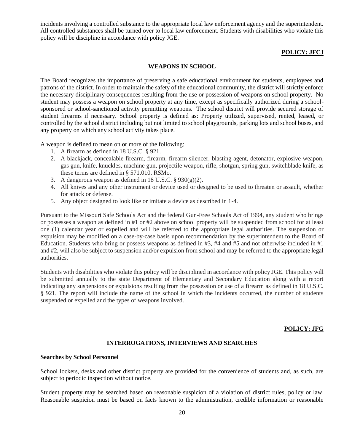incidents involving a controlled substance to the appropriate local law enforcement agency and the superintendent. All controlled substances shall be turned over to local law enforcement. Students with disabilities who violate this policy will be discipline in accordance with policy JGE.

# **POLICY: JFCJ**

#### **WEAPONS IN SCHOOL**

The Board recognizes the importance of preserving a safe educational environment for students, employees and patrons of the district. In order to maintain the safety of the educational community, the district will strictly enforce the necessary disciplinary consequences resulting from the use or possession of weapons on school property. No student may possess a weapon on school property at any time, except as specifically authorized during a schoolsponsored or school-sanctioned activity permitting weapons. The school district will provide secured storage of student firearms if necessary. School property is defined as: Property utilized, supervised, rented, leased, or controlled by the school district including but not limited to school playgrounds, parking lots and school buses, and any property on which any school activity takes place.

A weapon is defined to mean on or more of the following:

- 1. A firearm as defined in 18 U.S.C. § 921.
- 2. A blackjack, concealable firearm, firearm, firearm silencer, blasting agent, detonator, explosive weapon, gas gun, knife, knuckles, machine gun, projectile weapon, rifle, shotgun, spring gun, switchblade knife, as these terms are defined in § 571.010, RSMo.
- 3. A dangerous weapon as defined in 18 U.S.C.  $\S 930(g)(2)$ .
- 4. All knives and any other instrument or device used or designed to be used to threaten or assault, whether for attack or defense.
- 5. Any object designed to look like or imitate a device as described in 1-4.

Pursuant to the Missouri Safe Schools Act and the federal Gun-Free Schools Act of 1994, any student who brings or possesses a weapon as defined in #1 or #2 above on school property will be suspended from school for at least one (1) calendar year or expelled and will be referred to the appropriate legal authorities. The suspension or expulsion may be modified on a case-by-case basis upon recommendation by the superintendent to the Board of Education. Students who bring or possess weapons as defined in #3, #4 and #5 and not otherwise included in #1 and #2, will also be subject to suspension and/or expulsion from school and may be referred to the appropriate legal authorities.

Students with disabilities who violate this policy will be disciplined in accordance with policy JGE. This policy will be submitted annually to the state Department of Elementary and Secondary Education along with a report indicating any suspensions or expulsions resulting from the possession or use of a firearm as defined in 18 U.S.C. § 921. The report will include the name of the school in which the incidents occurred, the number of students suspended or expelled and the types of weapons involved.

#### **POLICY: JFG**

#### **INTERROGATIONS, INTERVIEWS AND SEARCHES**

#### **Searches by School Personnel**

School lockers, desks and other district property are provided for the convenience of students and, as such, are subject to periodic inspection without notice.

Student property may be searched based on reasonable suspicion of a violation of district rules, policy or law. Reasonable suspicion must be based on facts known to the administration, credible information or reasonable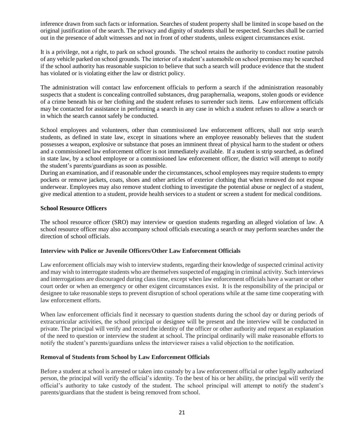inference drawn from such facts or information. Searches of student property shall be limited in scope based on the original justification of the search. The privacy and dignity of students shall be respected. Searches shall be carried out in the presence of adult witnesses and not in front of other students, unless exigent circumstances exist.

It is a privilege, not a right, to park on school grounds. The school retains the authority to conduct routine patrols of any vehicle parked on school grounds. The interior of a student's automobile on school premises may be searched if the school authority has reasonable suspicion to believe that such a search will produce evidence that the student has violated or is violating either the law or district policy.

The administration will contact law enforcement officials to perform a search if the administration reasonably suspects that a student is concealing controlled substances, drug paraphernalia, weapons, stolen goods or evidence of a crime beneath his or her clothing and the student refuses to surrender such items. Law enforcement officials may be contacted for assistance in performing a search in any case in which a student refuses to allow a search or in which the search cannot safely be conducted.

School employees and volunteers, other than commissioned law enforcement officers, shall not strip search students, as defined in state law, except in situations where an employee reasonably believes that the student possesses a weapon, explosive or substance that poses an imminent threat of physical harm to the student or others and a commissioned law enforcement officer is not immediately available. If a student is strip searched, as defined in state law, by a school employee or a commissioned law enforcement officer, the district will attempt to notify the student's parents/guardians as soon as possible.

During an examination, and if reasonable under the circumstances, school employees may require students to empty pockets or remove jackets, coats, shoes and other articles of exterior clothing that when removed do not expose underwear. Employees may also remove student clothing to investigate the potential abuse or neglect of a student, give medical attention to a student, provide health services to a student or screen a student for medical conditions.

#### **School Resource Officers**

The school resource officer (SRO) may interview or question students regarding an alleged violation of law. A school resource officer may also accompany school officials executing a search or may perform searches under the direction of school officials.

# **Interview with Police or Juvenile Officers/Other Law Enforcement Officials**

Law enforcement officials may wish to interview students, regarding their knowledge of suspected criminal activity and may wish to interrogate students who are themselves suspected of engaging in criminal activity. Such interviews and interrogations are discouraged during class time, except when law enforcement officials have a warrant or other court order or when an emergency or other exigent circumstances exist. It is the responsibility of the principal or designee to take reasonable steps to prevent disruption of school operations while at the same time cooperating with law enforcement efforts.

When law enforcement officials find it necessary to question students during the school day or during periods of extracurricular activities, the school principal or designee will be present and the interview will be conducted in private. The principal will verify and record the identity of the officer or other authority and request an explanation of the need to question or interview the student at school. The principal ordinarily will make reasonable efforts to notify the student's parents/guardians unless the interviewer raises a valid objection to the notification.

#### **Removal of Students from School by Law Enforcement Officials**

Before a student at school is arrested or taken into custody by a law enforcement official or other legally authorized person, the principal will verify the official's identity. To the best of his or her ability, the principal will verify the official's authority to take custody of the student. The school principal will attempt to notify the student's parents/guardians that the student is being removed from school.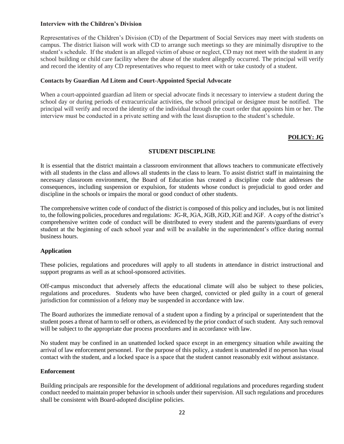#### **Interview with the Children's Division**

Representatives of the Children's Division (CD) of the Department of Social Services may meet with students on campus. The district liaison will work with CD to arrange such meetings so they are minimally disruptive to the student's schedule. If the student is an alleged victim of abuse or neglect, CD may not meet with the student in any school building or child care facility where the abuse of the student allegedly occurred. The principal will verify and record the identity of any CD representatives who request to meet with or take custody of a student.

# **Contacts by Guardian Ad Litem and Court-Appointed Special Advocate**

When a court-appointed guardian ad litem or special advocate finds it necessary to interview a student during the school day or during periods of extracurricular activities, the school principal or designee must be notified. The principal will verify and record the identity of the individual through the court order that appoints him or her. The interview must be conducted in a private setting and with the least disruption to the student's schedule.

# **POLICY: JG**

#### **STUDENT DISCIPLINE**

It is essential that the district maintain a classroom environment that allows teachers to communicate effectively with all students in the class and allows all students in the class to learn. To assist district staff in maintaining the necessary classroom environment, the Board of Education has created a discipline code that addresses the consequences, including suspension or expulsion, for students whose conduct is prejudicial to good order and discipline in the schools or impairs the moral or good conduct of other students.

The comprehensive written code of conduct of the district is composed of this policy and includes, but is not limited to, the following policies, procedures and regulations: JG-R, JGA, JGB, JGD, JGE and JGF. A copy of the district's comprehensive written code of conduct will be distributed to every student and the parents/guardians of every student at the beginning of each school year and will be available in the superintendent's office during normal business hours.

# **Application**

These policies, regulations and procedures will apply to all students in attendance in district instructional and support programs as well as at school-sponsored activities.

Off-campus misconduct that adversely affects the educational climate will also be subject to these policies, regulations and procedures. Students who have been charged, convicted or pled guilty in a court of general jurisdiction for commission of a felony may be suspended in accordance with law.

The Board authorizes the immediate removal of a student upon a finding by a principal or superintendent that the student poses a threat of harm to self or others, as evidenced by the prior conduct of such student. Any such removal will be subject to the appropriate due process procedures and in accordance with law.

No student may be confined in an unattended locked space except in an emergency situation while awaiting the arrival of law enforcement personnel. For the purpose of this policy, a student is unattended if no person has visual contact with the student, and a locked space is a space that the student cannot reasonably exit without assistance.

#### **Enforcement**

Building principals are responsible for the development of additional regulations and procedures regarding student conduct needed to maintain proper behavior in schools under their supervision. All such regulations and procedures shall be consistent with Board-adopted discipline policies.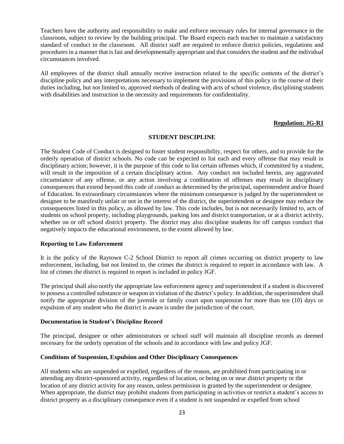Teachers have the authority and responsibility to make and enforce necessary rules for internal governance in the classroom, subject to review by the building principal. The Board expects each teacher to maintain a satisfactory standard of conduct in the classroom. All district staff are required to enforce district policies, regulations and procedures in a manner that is fair and developmentally appropriate and that considers the student and the individual circumstances involved.

All employees of the district shall annually receive instruction related to the specific contents of the district's discipline policy and any interpretations necessary to implement the provisions of this policy in the course of their duties including, but not limited to, approved methods of dealing with acts of school violence, disciplining students with disabilities and instruction in the necessity and requirements for confidentiality.

#### **Regulation: JG-R1**

#### **STUDENT DISCIPLINE**

The Student Code of Conduct is designed to foster student responsibility, respect for others, and to provide for the orderly operation of district schools. No code can be expected to list each and every offense that may result in disciplinary action; however, it is the purpose of this code to list certain offenses which, if committed by a student, will result in the imposition of a certain disciplinary action. Any conduct not included herein, any aggravated circumstance of any offense, or any action involving a combination of offenses may result in disciplinary consequences that extend beyond this code of conduct as determined by the principal, superintendent and/or Board of Education. In extraordinary circumstances where the minimum consequence is judged by the superintendent or designee to be manifestly unfair or not in the interest of the district, the superintendent or designee may reduce the consequences listed in this policy, as allowed by law. This code includes, but is not necessarily limited to, acts of students on school property, including playgrounds, parking lots and district transportation, or at a district activity, whether on or off school district property. The district may also discipline students for off campus conduct that negatively impacts the educational environment, to the extent allowed by law.

#### **Reporting to Law Enforcement**

It is the policy of the Raytown C-2 School District to report all crimes occurring on district property to law enforcement, including, but not limited to, the crimes the district is required to report in accordance with law. A list of crimes the district is required to report is included in policy JGF.

The principal shall also notify the appropriate law enforcement agency and superintendent if a student is discovered to possess a controlled substance or weapon in violation of the district's policy. In addition, the superintendent shall notify the appropriate division of the juvenile or family court upon suspension for more than ten (10) days or expulsion of any student who the district is aware is under the jurisdiction of the court.

#### **Documentation in Student's Discipline Record**

The principal, designee or other administrators or school staff will maintain all discipline records as deemed necessary for the orderly operation of the schools and in accordance with law and policy JGF.

#### **Conditions of Suspension, Expulsion and Other Disciplinary Consequences**

All students who are suspended or expelled, regardless of the reason, are prohibited from participating in or attending any district-sponsored activity, regardless of location, or being on or near district property or the location of any district activity for any reason, unless permission is granted by the superintendent or designee. When appropriate, the district may prohibit students from participating in activities or restrict a student's access to district property as a disciplinary consequence even if a student is not suspended or expelled from school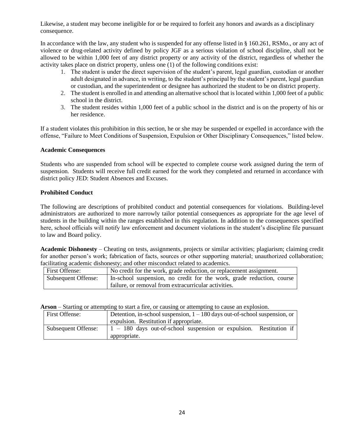Likewise, a student may become ineligible for or be required to forfeit any honors and awards as a disciplinary consequence.

In accordance with the law, any student who is suspended for any offense listed in § 160.261, RSMo., or any act of violence or drug-related activity defined by policy JGF as a serious violation of school discipline, shall not be allowed to be within 1,000 feet of any district property or any activity of the district, regardless of whether the activity takes place on district property, unless one (1) of the following conditions exist:

- 1. The student is under the direct supervision of the student's parent, legal guardian, custodian or another adult designated in advance, in writing, to the student's principal by the student's parent, legal guardian or custodian, and the superintendent or designee has authorized the student to be on district property.
- 2. The student is enrolled in and attending an alternative school that is located within 1,000 feet of a public school in the district.
- 3. The student resides within 1,000 feet of a public school in the district and is on the property of his or her residence.

If a student violates this prohibition in this section, he or she may be suspended or expelled in accordance with the offense, "Failure to Meet Conditions of Suspension, Expulsion or Other Disciplinary Consequences," listed below.

# **Academic Consequences**

Students who are suspended from school will be expected to complete course work assigned during the term of suspension. Students will receive full credit earned for the work they completed and returned in accordance with district policy JED: Student Absences and Excuses.

# **Prohibited Conduct**

The following are descriptions of prohibited conduct and potential consequences for violations. Building-level administrators are authorized to more narrowly tailor potential consequences as appropriate for the age level of students in the building within the ranges established in this regulation. In addition to the consequences specified here, school officials will notify law enforcement and document violations in the student's discipline file pursuant to law and Board policy.

**Academic Dishonesty** – Cheating on tests, assignments, projects or similar activities; plagiarism; claiming credit for another person's work; fabrication of facts, sources or other supporting material; unauthorized collaboration; facilitating academic dishonesty: and other misconduct related to academics.

| <b>First Offense:</b> | No credit for the work, grade reduction, or replacement assignment.                                                           |
|-----------------------|-------------------------------------------------------------------------------------------------------------------------------|
| Subsequent Offense:   | In-school suspension, no credit for the work, grade reduction, course<br>failure, or removal from extracurricular activities. |

**Arson** – Starting or attempting to start a fire, or causing or attempting to cause an explosion.

| First Offense:      | Detention, in-school suspension, $1 - 180$ days out-of-school suspension, or                        |  |  |
|---------------------|-----------------------------------------------------------------------------------------------------|--|--|
|                     | expulsion. Restitution if appropriate.                                                              |  |  |
| Subsequent Offense: | $\begin{bmatrix} 1 & -180 \end{bmatrix}$ days out-of-school suspension or expulsion. Restitution if |  |  |
|                     | appropriate.                                                                                        |  |  |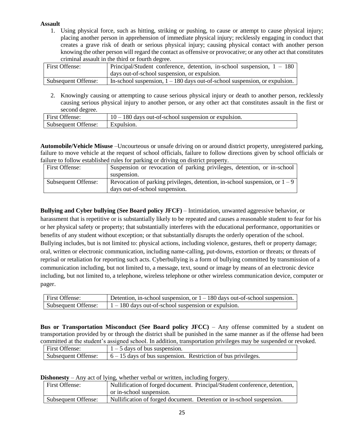# **Assault**

1. Using physical force, such as hitting, striking or pushing, to cause or attempt to cause physical injury; placing another person in apprehension of immediate physical injury; recklessly engaging in conduct that creates a grave risk of death or serious physical injury; causing physical contact with another person knowing the other person will regard the contact as offensive or provocative; or any other act that constitutes criminal assault in the third or fourth degree.

| First Offense:      | Principal/Student conference, detention, in-school suspension, $1 - 180$     |
|---------------------|------------------------------------------------------------------------------|
|                     | days out-of-school suspension, or expulsion.                                 |
| Subsequent Offense: | In-school suspension, $1 - 180$ days out-of-school suspension, or expulsion. |

2. Knowingly causing or attempting to cause serious physical injury or death to another person, recklessly causing serious physical injury to another person, or any other act that constitutes assault in the first or second degree.

| <b>First Offense:</b> | $10 - 180$ days out-of-school suspension or expulsion. |
|-----------------------|--------------------------------------------------------|
| Subsequent Offense:   | Expulsion.                                             |

**Automobile/Vehicle Misuse** –Uncourteous or unsafe driving on or around district property, unregistered parking, failure to move vehicle at the request of school officials, failure to follow directions given by school officials or failure to follow established rules for parking or driving on district property.

| First Offense:      | Suspension or revocation of parking privileges, detention, or in-school       |
|---------------------|-------------------------------------------------------------------------------|
|                     | suspension.                                                                   |
| Subsequent Offense: | Revocation of parking privileges, detention, in-school suspension, or $1 - 9$ |
|                     | days out-of-school suspension.                                                |

**Bullying and Cyber bullying (See Board policy JFCF)** – Intimidation, unwanted aggressive behavior, or harassment that is repetitive or is substantially likely to be repeated and causes a reasonable student to fear for his or her physical safety or property; that substantially interferes with the educational performance, opportunities or benefits of any student without exception; or that substantially disrupts the orderly operation of the school. Bullying includes, but is not limited to: physical actions, including violence, gestures, theft or property damage; oral, written or electronic communication, including name-calling, put-downs, extortion or threats; or threats of reprisal or retaliation for reporting such acts. Cyberbullying is a form of bullying committed by transmission of a communication including, but not limited to, a message, text, sound or image by means of an electronic device including, but not limited to, a telephone, wireless telephone or other wireless communication device, computer or pager.

| First Offense:      | Detention, in-school suspension, or $1 - 180$ days out-of-school suspension. |
|---------------------|------------------------------------------------------------------------------|
| Subsequent Offense: | $1 - 180$ days out-of-school suspension or expulsion.                        |

**Bus or Transportation Misconduct (See Board policy JFCC)** – Any offense committed by a student on transportation provided by or through the district shall be punished in the same manner as if the offense had been committed at the student's assigned school. In addition, transportation privileges may be suspended or revoked.

| First Offense:      | $1 - 5$ days of bus suspension.                                 |
|---------------------|-----------------------------------------------------------------|
| Subsequent Offense: | $6 - 15$ days of bus suspension. Restriction of bus privileges. |

| Dishonesty $-$ Any act of lying, whether verbal or written, including forgery. |  |  |  |  |
|--------------------------------------------------------------------------------|--|--|--|--|
|--------------------------------------------------------------------------------|--|--|--|--|

| First Offense:      | Nullification of forged document. Principal/Student conference, detention, |
|---------------------|----------------------------------------------------------------------------|
|                     | or in-school suspension.                                                   |
| Subsequent Offense: | Nullification of forged document. Detention or in-school suspension.       |
|                     |                                                                            |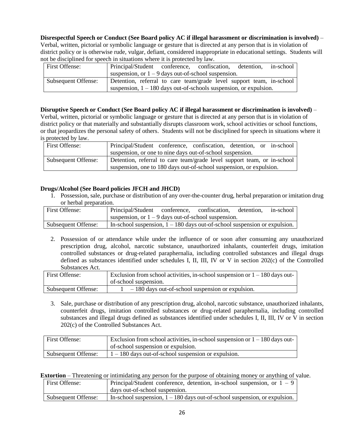# **Disrespectful Speech or Conduct (See Board policy AC if illegal harassment or discrimination is involved)** –

Verbal, written, pictorial or symbolic language or gesture that is directed at any person that is in violation of district policy or is otherwise rude, vulgar, defiant, considered inappropriate in educational settings. Students will not be disciplined for speech in situations where it is protected by law.

| First Offense:      | Principal/Student conference, confiscation, detention, in-school     |  |  |
|---------------------|----------------------------------------------------------------------|--|--|
|                     | suspension, or $1 - 9$ days out-of-school suspension.                |  |  |
| Subsequent Offense: | Detention, referral to care team/grade level support team, in-school |  |  |
|                     | suspension, $1 - 180$ days out-of-schools suspension, or expulsion.  |  |  |

# **Disruptive Speech or Conduct (See Board policy AC if illegal harassment or discrimination is involved)** –

Verbal, written, pictorial or symbolic language or gesture that is directed at any person that is in violation of district policy or that materially and substantially disrupts classroom work, school activities or school functions, or that jeopardizes the personal safety of others. Students will not be disciplined for speech in situations where it is protected by law.

| First Offense:      | Principal/Student conference, confiscation, detention, or in-school     |
|---------------------|-------------------------------------------------------------------------|
|                     | suspension, or one to nine days out-of-school suspension.               |
| Subsequent Offense: | Detention, referral to care team/grade level support team, or in-school |
|                     | suspension, one to 180 days out-of-school suspension, or expulsion.     |

#### **Drugs/Alcohol (See Board policies JFCH and JHCD)**

1. Possession, sale, purchase or distribution of any over-the-counter drug, herbal preparation or imitation drug or herbal preparation.

| First Offense:      | Principal/Student conference, confiscation, detention, in-school            |  |  |
|---------------------|-----------------------------------------------------------------------------|--|--|
|                     | suspension, or $1 - 9$ days out-of-school suspension.                       |  |  |
| Subsequent Offense: | In-school suspension, $1 - 180$ days out-of-school suspension or expulsion. |  |  |

2. Possession of or attendance while under the influence of or soon after consuming any unauthorized prescription drug, alcohol, narcotic substance, unauthorized inhalants, counterfeit drugs, imitation controlled substances or drug-related paraphernalia, including controlled substances and illegal drugs defined as substances identified under schedules I, II, III, IV or V in section 202(c) of the Controlled Substances Act.

| First Offense:      | Exclusion from school activities, in-school suspension or $1 - 180$ days out-<br>of-school suspension. |  |
|---------------------|--------------------------------------------------------------------------------------------------------|--|
| Subsequent Offense: | $-180$ days out-of-school suspension or expulsion.                                                     |  |

3. Sale, purchase or distribution of any prescription drug, alcohol, narcotic substance, unauthorized inhalants, counterfeit drugs, imitation controlled substances or drug-related paraphernalia, including controlled substances and illegal drugs defined as substances identified under schedules I, II, III, IV or V in section 202(c) of the Controlled Substances Act.

| First Offense:      | Exclusion from school activities, in-school suspension or $1 - 180$ days out- |
|---------------------|-------------------------------------------------------------------------------|
|                     | of-school suspension or expulsion.                                            |
| Subsequent Offense: | $1 - 180$ days out-of-school suspension or expulsion.                         |

**Extortion** – Threatening or intimidating any person for the purpose of obtaining money or anything of value.

| First Offense:      | Principal/Student conference, detention, in-school suspension, or $1 - 9$    |
|---------------------|------------------------------------------------------------------------------|
|                     | days out-of-school suspension.                                               |
| Subsequent Offense: | In-school suspension, $1 - 180$ days out-of-school suspension, or expulsion. |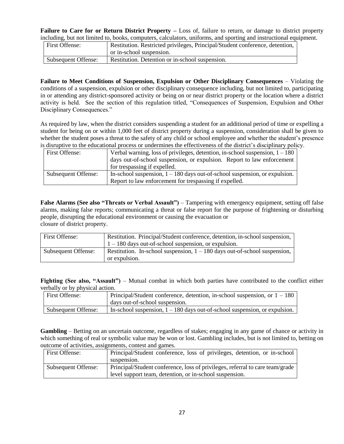**Failure to Care for or Return District Property –** Loss of, failure to return, or damage to district property including, but not limited to, books, computers, calculators, uniforms, and sporting and instructional equipment.

| <b>First Offense:</b> | Restitution. Restricted privileges, Principal/Student conference, detention, |
|-----------------------|------------------------------------------------------------------------------|
|                       | or in-school suspension.                                                     |
| Subsequent Offense:   | Restitution. Detention or in-school suspension.                              |

**Failure to Meet Conditions of Suspension, Expulsion or Other Disciplinary Consequences** – Violating the conditions of a suspension, expulsion or other disciplinary consequence including, but not limited to, participating in or attending any district-sponsored activity or being on or near district property or the location where a district activity is held. See the section of this regulation titled, "Consequences of Suspension, Expulsion and Other Disciplinary Consequences."

As required by law, when the district considers suspending a student for an additional period of time or expelling a student for being on or within 1,000 feet of district property during a suspension, consideration shall be given to whether the student poses a threat to the safety of any child or school employee and whether the student's presence is disruptive to the educational process or undermines the effectiveness of the district's disciplinary policy.

| First Offense:      | Verbal warning, loss of privileges, detention, in-school suspension, $1 - 180$ |  |
|---------------------|--------------------------------------------------------------------------------|--|
|                     | days out-of-school suspension, or expulsion. Report to law enforcement         |  |
|                     | for trespassing if expelled.                                                   |  |
| Subsequent Offense: | In-school suspension, $1 - 180$ days out-of-school suspension, or expulsion.   |  |
|                     | Report to law enforcement for trespassing if expelled.                         |  |

**False Alarms (See also "Threats or Verbal Assault")** – Tampering with emergency equipment, setting off false alarms, making false reports; communicating a threat or false report for the purpose of frightening or disturbing people, disrupting the educational environment or causing the evacuation or closure of district property.

| First Offense:      | Restitution. Principal/Student conference, detention, in-school suspension,                  |  |
|---------------------|----------------------------------------------------------------------------------------------|--|
|                     | $1 - 180$ days out-of-school suspension, or expulsion.                                       |  |
| Subsequent Offense: | Restitution. In-school suspension, $1 - 180$ days out-of-school suspension,<br>or expulsion. |  |

**Fighting (See also, "Assault")** – Mutual combat in which both parties have contributed to the conflict either verbally or by physical action.

| First Offense:      | Principal/Student conference, detention, in-school suspension, or $1 - 180$  |  |
|---------------------|------------------------------------------------------------------------------|--|
|                     | days out-of-school suspension.                                               |  |
| Subsequent Offense: | In-school suspension, $1 - 180$ days out-of-school suspension, or expulsion. |  |

**Gambling** – Betting on an uncertain outcome, regardless of stakes; engaging in any game of chance or activity in which something of real or symbolic value may be won or lost. Gambling includes, but is not limited to, betting on outcome of activities, assignments, contest and games.

| First Offense:      | Principal/Student conference, loss of privileges, detention, or in-school     |
|---------------------|-------------------------------------------------------------------------------|
|                     | suspension.                                                                   |
| Subsequent Offense: | Principal/Student conference, loss of privileges, referral to care team/grade |
|                     | level support team, detention, or in-school suspension.                       |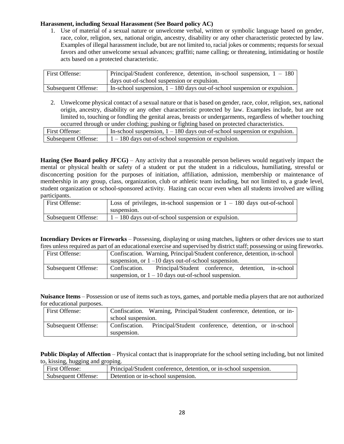# **Harassment, including Sexual Harassment (See Board policy AC)**

1. Use of material of a sexual nature or unwelcome verbal, written or symbolic language based on gender, race, color, religion, sex, national origin, ancestry, disability or any other characteristic protected by law. Examples of illegal harassment include, but are not limited to, racial jokes or comments; requests for sexual favors and other unwelcome sexual advances; graffiti; name calling; or threatening, intimidating or hostile acts based on a protected characteristic.

| First Offense:      | Principal/Student conference, detention, in-school suspension, $1 - 180$    |
|---------------------|-----------------------------------------------------------------------------|
|                     | days out-of-school suspension or expulsion.                                 |
| Subsequent Offense: | In-school suspension, $1 - 180$ days out-of-school suspension or expulsion. |

2. Unwelcome physical contact of a sexual nature or that is based on gender, race, color, religion, sex, national origin, ancestry, disability or any other characteristic protected by law. Examples include, but are not limited to, touching or fondling the genital areas, breasts or undergarments, regardless of whether touching occurred through or under clothing; pushing or fighting based on protected characteristics.

| First Offense:      | In-school suspension, $1 - 180$ days out-of-school suspension or expulsion. |
|---------------------|-----------------------------------------------------------------------------|
| Subsequent Offense: | $1 - 180$ days out-of-school suspension or expulsion.                       |

**Hazing (See Board policy JFCG)** – Any activity that a reasonable person believes would negatively impact the mental or physical health or safety of a student or put the student in a ridiculous, humiliating, stressful or disconcerting position for the purposes of initiation, affiliation, admission, membership or maintenance of membership in any group, class, organization, club or athletic team including, but not limited to, a grade level, student organization or school-sponsored activity. Hazing can occur even when all students involved are willing participants.

| First Offense:      | Loss of privileges, in-school suspension or $1 - 180$ days out-of-school |
|---------------------|--------------------------------------------------------------------------|
|                     | suspension.                                                              |
| Subsequent Offense: | $1 - 180$ days out-of-school suspension or expulsion.                    |

**Incendiary Devices or Fireworks** – Possessing, displaying or using matches, lighters or other devices use to start fires unless required as part of an educational exercise and supervised by district staff; possessing or using fireworks.

| First Offense:      | Confiscation. Warning, Principal/Student conference, detention, in-school |                                                    |  |  |  |
|---------------------|---------------------------------------------------------------------------|----------------------------------------------------|--|--|--|
|                     | suspension, or $1-10$ days out-of-school suspension.                      |                                                    |  |  |  |
| Subsequent Offense: | Confiscation.                                                             | Principal/Student conference, detention, in-school |  |  |  |
|                     | suspension, or $1 - 10$ days out-of-school suspension.                    |                                                    |  |  |  |

**Nuisance Items** – Possession or use of items such as toys, games, and portable media players that are not authorized for educational purposes.

| First Offense:      |                    | Confiscation. Warning, Principal/Student conference, detention, or in- |  |  |
|---------------------|--------------------|------------------------------------------------------------------------|--|--|
|                     | school suspension. |                                                                        |  |  |
| Subsequent Offense: | Confiscation.      | Principal/Student conference, detention, or in-school                  |  |  |
|                     | suspension.        |                                                                        |  |  |

**Public Display of Affection** – Physical contact that is inappropriate for the school setting including, but not limited to, kissing, hugging and groping.

| First Offense:      | Principal/Student conference, detention, or in-school suspension. |
|---------------------|-------------------------------------------------------------------|
| Subsequent Offense: | Detention or in-school suspension.                                |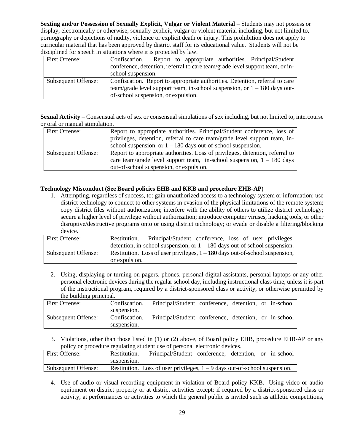**Sexting and/or Possession of Sexually Explicit, Vulgar or Violent Material** – Students may not possess or display, electronically or otherwise, sexually explicit, vulgar or violent material including, but not limited to, pornography or depictions of nudity, violence or explicit death or injury. This prohibition does not apply to curricular material that has been approved by district staff for its educational value. Students will not be disciplined for speech in situations where it is protected by law.

| First Offense:      | Report to appropriate authorities. Principal/Student<br>Confiscation.         |  |  |  |
|---------------------|-------------------------------------------------------------------------------|--|--|--|
|                     | conference, detention, referral to care team/grade level support team, or in- |  |  |  |
|                     | school suspension.                                                            |  |  |  |
| Subsequent Offense: | Confiscation. Report to appropriate authorities. Detention, referral to care  |  |  |  |
|                     | team/grade level support team, in-school suspension, or $1 - 180$ days out-   |  |  |  |
|                     | of-school suspension, or expulsion.                                           |  |  |  |

**Sexual Activity** – Consensual acts of sex or consensual simulations of sex including, but not limited to, intercourse or oral or manual stimulation.

| First Offense:      | Report to appropriate authorities. Principal/Student conference, loss of      |
|---------------------|-------------------------------------------------------------------------------|
|                     | privileges, detention, referral to care team/grade level support team, in-    |
|                     | school suspension, or $1 - 180$ days out-of-school suspension.                |
| Subsequent Offense: | Report to appropriate authorities. Loss of privileges, detention, referral to |
|                     | care team/grade level support team, in-school suspension, $1 - 180$ days      |
|                     | out-of-school suspension, or expulsion.                                       |

# **Technology Misconduct (See Board policies EHB and KKB and procedure EHB-AP)**

1. Attempting, regardless of success, to: gain unauthorized access to a technology system or information; use district technology to connect to other systems in evasion of the physical limitations of the remote system; copy district files without authorization; interfere with the ability of others to utilize district technology; secure a higher level of privilege without authorization; introduce computer viruses, hacking tools, or other disruptive/destructive programs onto or using district technology; or evade or disable a filtering/blocking device.

| First Offense:      | Principal/Student conference, loss of user privileges,<br>Restitution.                          |  |
|---------------------|-------------------------------------------------------------------------------------------------|--|
|                     | detention, in-school suspension, or $1 - 180$ days out-of school suspension.                    |  |
| Subsequent Offense: | Restitution. Loss of user privileges, $1 - 180$ days out-of-school suspension,<br>or expulsion. |  |

2. Using, displaying or turning on pagers, phones, personal digital assistants, personal laptops or any other personal electronic devices during the regular school day, including instructional class time, unless it is part of the instructional program, required by a district-sponsored class or activity, or otherwise permitted by the building principal.

| First Offense:      | Confiscation. | Principal/Student conference, detention, or in-school |  |  |
|---------------------|---------------|-------------------------------------------------------|--|--|
|                     | suspension.   |                                                       |  |  |
| Subsequent Offense: | Confiscation. | Principal/Student conference, detention, or in-school |  |  |
|                     | suspension.   |                                                       |  |  |

3. Violations, other than those listed in (1) or (2) above, of Board policy EHB, procedure EHB-AP or any policy or procedure regulating student use of personal electronic devices.

| First Offense:      | Restitution. | Principal/Student conference, detention, or in-school                        |  |  |
|---------------------|--------------|------------------------------------------------------------------------------|--|--|
|                     | suspension.  |                                                                              |  |  |
| Subsequent Offense: |              | Restitution. Loss of user privileges, $1 - 9$ days out-of-school suspension. |  |  |

4. Use of audio or visual recording equipment in violation of Board policy KKB. Using video or audio equipment on district property or at district activities except: if required by a district-sponsored class or activity; at performances or activities to which the general public is invited such as athletic competitions,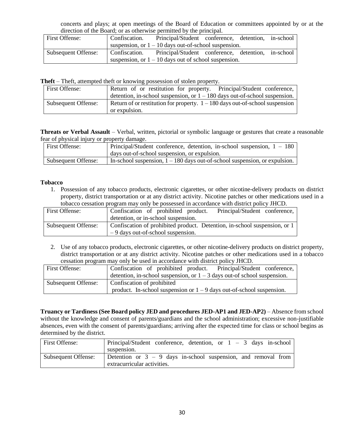concerts and plays; at open meetings of the Board of Education or committees appointed by or at the direction of the Board; or as otherwise permitted by the principal.

| First Offense:      | Confiscation.                                          | Principal/Student conference, detention, in-school               |  |  |
|---------------------|--------------------------------------------------------|------------------------------------------------------------------|--|--|
|                     |                                                        | suspension, or $1 - 10$ days out-of-school suspension.           |  |  |
| Subsequent Offense: |                                                        | Confiscation. Principal/Student conference, detention, in-school |  |  |
|                     | suspension, or $1 - 10$ days out of school suspension. |                                                                  |  |  |

**Theft** – Theft, attempted theft or knowing possession of stolen property.

| First Offense:      | Return of or restitution for property. Principal/Student conference,           |
|---------------------|--------------------------------------------------------------------------------|
|                     | detention, in-school suspension, or $1 - 180$ days out-of-school suspension.   |
| Subsequent Offense: | Return of or restitution for property. $1 - 180$ days out-of-school suspension |
|                     | or expulsion.                                                                  |

**Threats or Verbal Assault** – Verbal, written, pictorial or symbolic language or gestures that create a reasonable fear of physical injury or property damage.

| First Offense:      | Principal/Student conference, detention, in-school suspension, $1 - 180$     |
|---------------------|------------------------------------------------------------------------------|
|                     | days out-of-school suspension, or expulsion.                                 |
| Subsequent Offense: | In-school suspension, $1 - 180$ days out-of-school suspension, or expulsion. |

# **Tobacco**

1. Possession of any tobacco products, electronic cigarettes, or other nicotine-delivery products on district property, district transportation or at any district activity. Nicotine patches or other medications used in a tobacco cessation program may only be possessed in accordance with district policy JHCD.

| First Offense:      | Confiscation of prohibited product.                                       | Principal/Student conference, |
|---------------------|---------------------------------------------------------------------------|-------------------------------|
|                     | detention, or in-school suspension.                                       |                               |
| Subsequent Offense: | Confiscation of prohibited product. Detention, in-school suspension, or 1 |                               |
|                     | $-9$ days out-of-school suspension.                                       |                               |

2. Use of any tobacco products, electronic cigarettes, or other nicotine-delivery products on district property, district transportation or at any district activity. Nicotine patches or other medications used in a tobacco cessation program may only be used in accordance with district policy JHCD.

| First Offense:      |                            |  | Confiscation of prohibited product. Principal/Student conference,          |  |
|---------------------|----------------------------|--|----------------------------------------------------------------------------|--|
|                     |                            |  | detention, in-school suspension, or $1 - 3$ days out-of school suspension. |  |
| Subsequent Offense: | Confiscation of prohibited |  |                                                                            |  |
|                     |                            |  | product. In-school suspension or $1 - 9$ days out-of-school suspension.    |  |

**Truancy or Tardiness (See Board policy JED and procedures JED-AP1 and JED-AP2)** – Absence from school without the knowledge and consent of parents/guardians and the school administration; excessive non-justifiable absences, even with the consent of parents/guardians; arriving after the expected time for class or school begins as determined by the district.

| First Offense:      | Principal/Student conference, detention, or $1 - 3$ days in-school                              |
|---------------------|-------------------------------------------------------------------------------------------------|
|                     | suspension.                                                                                     |
| Subsequent Offense: | Detention or $3 - 9$ days in-school suspension, and removal from<br>extracurricular activities. |
|                     |                                                                                                 |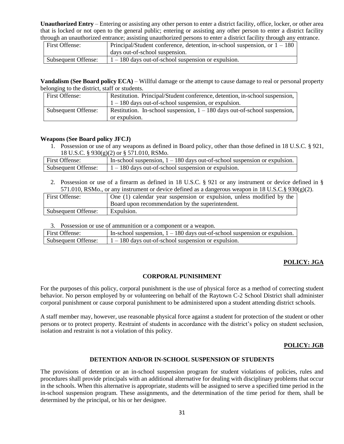**Unauthorized Entry** – Entering or assisting any other person to enter a district facility, office, locker, or other area that is locked or not open to the general public; entering or assisting any other person to enter a district facility through an unauthorized entrance; assisting unauthorized persons to enter a district facility through any entrance.

| First Offense:      | Principal/Student conference, detention, in-school suspension, or $1 - 180$ |
|---------------------|-----------------------------------------------------------------------------|
|                     | days out-of-school suspension.                                              |
| Subsequent Offense: | $1 - 180$ days out-of-school suspension or expulsion.                       |

**Vandalism (See Board policy ECA)** – Willful damage or the attempt to cause damage to real or personal property belonging to the district, staff or students.

| First Offense:      | Restitution. Principal/Student conference, detention, in-school suspension, |  |
|---------------------|-----------------------------------------------------------------------------|--|
|                     | $1 - 180$ days out-of-school suspension, or expulsion.                      |  |
| Subsequent Offense: | Restitution. In-school suspension, $1 - 180$ days out-of-school suspension, |  |
|                     | or expulsion.                                                               |  |

#### **Weapons (See Board policy JFCJ)**

1. Possession or use of any weapons as defined in Board policy, other than those defined in 18 U.S.C. § 921, 18 U.S.C. § 930(g)(2) or § 571.010, RSMo.

| First Offense:      | In-school suspension, $1 - 180$ days out-of-school suspension or expulsion. |
|---------------------|-----------------------------------------------------------------------------|
| Subsequent Offense: | $1 - 180$ days out-of-school suspension or expulsion.                       |

2. Possession or use of a firearm as defined in 18 U.S.C. § 921 or any instrument or device defined in § 571.010, RSMo., or any instrument or device defined as a dangerous weapon in 18 U.S.C.§  $930(g)(2)$ .

| First Offense:      | One (1) calendar year suspension or expulsion, unless modified by the |
|---------------------|-----------------------------------------------------------------------|
|                     | Board upon recommendation by the superintendent.                      |
| Subsequent Offense: | Expulsion.                                                            |

3. Possession or use of ammunition or a component or a weapon.

| First Offense:      | In-school suspension, $1 - 180$ days out-of-school suspension or expulsion. |
|---------------------|-----------------------------------------------------------------------------|
| Subsequent Offense: | $1 - 180$ days out-of-school suspension or expulsion.                       |

# **POLICY: JGA**

#### **CORPORAL PUNISHMENT**

For the purposes of this policy, corporal punishment is the use of physical force as a method of correcting student behavior. No person employed by or volunteering on behalf of the Raytown C-2 School District shall administer corporal punishment or cause corporal punishment to be administered upon a student attending district schools.

A staff member may, however, use reasonable physical force against a student for protection of the student or other persons or to protect property. Restraint of students in accordance with the district's policy on student seclusion, isolation and restraint is not a violation of this policy.

# **POLICY: JGB**

#### **DETENTION AND/OR IN-SCHOOL SUSPENSION OF STUDENTS**

The provisions of detention or an in-school suspension program for student violations of policies, rules and procedures shall provide principals with an additional alternative for dealing with disciplinary problems that occur in the schools. When this alternative is appropriate, students will be assigned to serve a specified time period in the in-school suspension program. These assignments, and the determination of the time period for them, shall be determined by the principal, or his or her designee.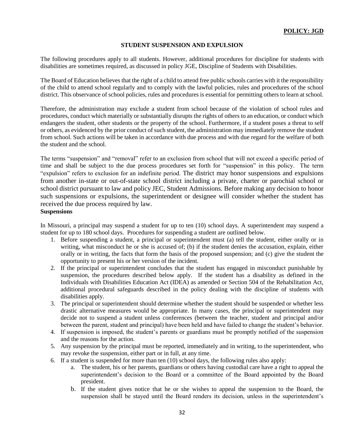# **STUDENT SUSPENSION AND EXPULSION**

The following procedures apply to all students. However, additional procedures for discipline for students with disabilities are sometimes required, as discussed in policy JGE, Discipline of Students with Disabilities.

The Board of Education believes that the right of a child to attend free public schools carries with it the responsibility of the child to attend school regularly and to comply with the lawful policies, rules and procedures of the school district. This observance of school policies, rules and procedures is essential for permitting others to learn at school.

Therefore, the administration may exclude a student from school because of the violation of school rules and procedures, conduct which materially or substantially disrupts the rights of others to an education, or conduct which endangers the student, other students or the property of the school. Furthermore, if a student poses a threat to self or others, as evidenced by the prior conduct of such student, the administration may immediately remove the student from school. Such actions will be taken in accordance with due process and with due regard for the welfare of both the student and the school.

The terms "suspension" and "removal" refer to an exclusion from school that will not exceed a specific period of time and shall be subject to the due process procedures set forth for "suspension" in this policy. The term "expulsion" refers to exclusion for an indefinite period. The district may honor suspensions and expulsions from another in-state or out-of-state school district including a private, charter or parochial school or school district pursuant to law and policy JEC, Student Admissions. Before making any decision to honor such suspensions or expulsions, the superintendent or designee will consider whether the student has received the due process required by law.

#### **Suspensions**

In Missouri, a principal may suspend a student for up to ten (10) school days. A superintendent may suspend a student for up to 180 school days. Procedures for suspending a student are outlined below.

- 1. Before suspending a student, a principal or superintendent must (a) tell the student, either orally or in writing, what misconduct he or she is accused of; (b) if the student denies the accusation, explain, either orally or in writing, the facts that form the basis of the proposed suspension; and (c) give the student the opportunity to present his or her version of the incident.
- 2. If the principal or superintendent concludes that the student has engaged in misconduct punishable by suspension, the procedures described below apply. If the student has a disability as defined in the Individuals with Disabilities Education Act (IDEA) as amended or Section 504 of the Rehabilitation Act, additional procedural safeguards described in the policy dealing with the discipline of students with disabilities apply.
- 3. The principal or superintendent should determine whether the student should be suspended or whether less drastic alternative measures would be appropriate. In many cases, the principal or superintendent may decide not to suspend a student unless conferences (between the teacher, student and principal and/or between the parent, student and principal) have been held and have failed to change the student's behavior.
- 4. If suspension is imposed, the student's parents or guardians must be promptly notified of the suspension and the reasons for the action.
- 5. Any suspension by the principal must be reported, immediately and in writing, to the superintendent, who may revoke the suspension, either part or in full, at any time.
- 6. If a student is suspended for more than ten (10) school days, the following rules also apply:
	- a. The student, his or her parents, guardians or others having custodial care have a right to appeal the superintendent's decision to the Board or a committee of the Board appointed by the Board president.
	- b. If the student gives notice that he or she wishes to appeal the suspension to the Board, the suspension shall be stayed until the Board renders its decision, unless in the superintendent's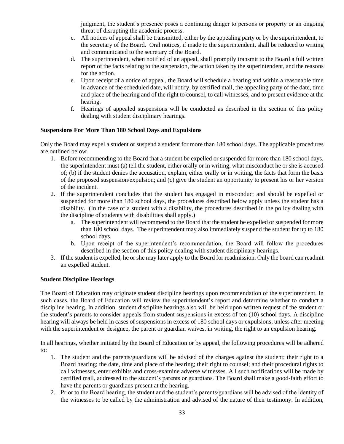judgment, the student's presence poses a continuing danger to persons or property or an ongoing threat of disrupting the academic process.

- c. All notices of appeal shall be transmitted, either by the appealing party or by the superintendent, to the secretary of the Board. Oral notices, if made to the superintendent, shall be reduced to writing and communicated to the secretary of the Board.
- d. The superintendent, when notified of an appeal, shall promptly transmit to the Board a full written report of the facts relating to the suspension, the action taken by the superintendent, and the reasons for the action.
- e. Upon receipt of a notice of appeal, the Board will schedule a hearing and within a reasonable time in advance of the scheduled date, will notify, by certified mail, the appealing party of the date, time and place of the hearing and of the right to counsel, to call witnesses, and to present evidence at the hearing.
- f. Hearings of appealed suspensions will be conducted as described in the section of this policy dealing with student disciplinary hearings.

# **Suspensions For More Than 180 School Days and Expulsions**

Only the Board may expel a student or suspend a student for more than 180 school days. The applicable procedures are outlined below.

- 1. Before recommending to the Board that a student be expelled or suspended for more than 180 school days, the superintendent must (a) tell the student, either orally or in writing, what misconduct he or she is accused of; (b) if the student denies the accusation, explain, either orally or in writing, the facts that form the basis of the proposed suspension/expulsion; and (c) give the student an opportunity to present his or her version of the incident.
- 2. If the superintendent concludes that the student has engaged in misconduct and should be expelled or suspended for more than 180 school days, the procedures described below apply unless the student has a disability. (In the case of a student with a disability, the procedures described in the policy dealing with the discipline of students with disabilities shall apply.)
	- a. The superintendent will recommend to the Board that the student be expelled or suspended for more than 180 school days. The superintendent may also immediately suspend the student for up to 180 school days.
	- b. Upon receipt of the superintendent's recommendation, the Board will follow the procedures described in the section of this policy dealing with student disciplinary hearings.
- 3. If the student is expelled, he or she may later apply to the Board for readmission. Only the board can readmit an expelled student.

# **Student Discipline Hearings**

The Board of Education may originate student discipline hearings upon recommendation of the superintendent. In such cases, the Board of Education will review the superintendent's report and determine whether to conduct a discipline hearing. In addition, student discipline hearings also will be held upon written request of the student or the student's parents to consider appeals from student suspensions in excess of ten (10) school days. A discipline hearing will always be held in cases of suspensions in excess of 180 school days or expulsions, unless after meeting with the superintendent or designee, the parent or guardian waives, in writing, the right to an expulsion hearing.

In all hearings, whether initiated by the Board of Education or by appeal, the following procedures will be adhered to:

- 1. The student and the parents/guardians will be advised of the charges against the student; their right to a Board hearing; the date, time and place of the hearing; their right to counsel; and their procedural rights to call witnesses, enter exhibits and cross-examine adverse witnesses. All such notifications will be made by certified mail, addressed to the student's parents or guardians. The Board shall make a good-faith effort to have the parents or guardians present at the hearing.
- 2. Prior to the Board hearing, the student and the student's parents/guardians will be advised of the identity of the witnesses to be called by the administration and advised of the nature of their testimony. In addition,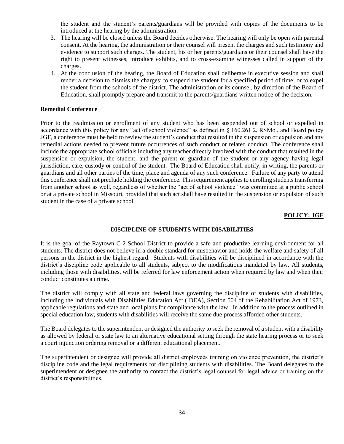the student and the student's parents/guardians will be provided with copies of the documents to be introduced at the hearing by the administration.

- 3. The hearing will be closed unless the Board decides otherwise. The hearing will only be open with parental consent. At the hearing, the administration or their counsel will present the charges and such testimony and evidence to support such charges. The student, his or her parents/guardians or their counsel shall have the right to present witnesses, introduce exhibits, and to cross-examine witnesses called in support of the charges.
- 4. At the conclusion of the hearing, the Board of Education shall deliberate in executive session and shall render a decision to dismiss the charges; to suspend the student for a specified period of time; or to expel the student from the schools of the district. The administration or its counsel, by direction of the Board of Education, shall promptly prepare and transmit to the parents/guardians written notice of the decision.

#### **Remedial Conference**

Prior to the readmission or enrollment of any student who has been suspended out of school or expelled in accordance with this policy for any "act of school violence" as defined in § 160.261.2, RSMo., and Board policy JGF, a conference must be held to review the student's conduct that resulted in the suspension or expulsion and any remedial actions needed to prevent future occurrences of such conduct or related conduct. The conference shall include the appropriate school officials including any teacher directly involved with the conduct that resulted in the suspension or expulsion, the student, and the parent or guardian of the student or any agency having legal jurisdiction, care, custody or control of the student. The Board of Education shall notify, in writing, the parents or guardians and all other parties of the time, place and agenda of any such conference. Failure of any party to attend this conference shall not preclude holding the conference. This requirement applies to enrolling students transferring from another school as well, regardless of whether the "act of school violence" was committed at a public school or at a private school in Missouri, provided that such act shall have resulted in the suspension or expulsion of such student in the case of a private school.

#### **POLICY: JGE**

#### **DISCIPLINE OF STUDENTS WITH DISABILITIES**

It is the goal of the Raytown C-2 School District to provide a safe and productive learning environment for all students. The district does not believe in a double standard for misbehavior and holds the welfare and safety of all persons in the district in the highest regard. Students with disabilities will be disciplined in accordance with the district's discipline code applicable to all students, subject to the modifications mandated by law. All students, including those with disabilities, will be referred for law enforcement action when required by law and when their conduct constitutes a crime.

The district will comply with all state and federal laws governing the discipline of students with disabilities, including the Individuals with Disabilities Education Act (IDEA), Section 504 of the Rehabilitation Act of 1973, applicable regulations and state and local plans for compliance with the law. In addition to the process outlined in special education law, students with disabilities will receive the same due process afforded other students.

The Board delegates to the superintendent or designed the authority to seek the removal of a student with a disability as allowed by federal or state law to an alternative educational setting through the state hearing process or to seek a court injunction ordering removal or a different educational placement.

The superintendent or designee will provide all district employees training on violence prevention, the district's discipline code and the legal requirements for disciplining students with disabilities. The Board delegates to the superintendent or designee the authority to contact the district's legal counsel for legal advice or training on the district's responsibilities.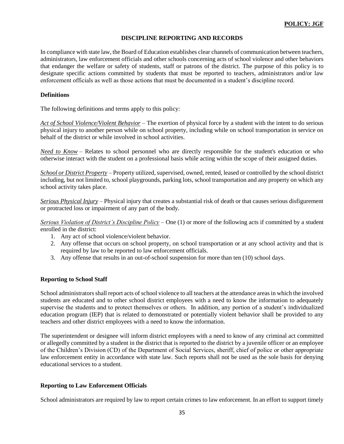#### **DISCIPLINE REPORTING AND RECORDS**

In compliance with state law, the Board of Education establishes clear channels of communication between teachers, administrators, law enforcement officials and other schools concerning acts of school violence and other behaviors that endanger the welfare or safety of students, staff or patrons of the district. The purpose of this policy is to designate specific actions committed by students that must be reported to teachers, administrators and/or law enforcement officials as well as those actions that must be documented in a student's discipline record.

#### **Definitions**

The following definitions and terms apply to this policy:

*Act of School Violence/Violent Behavior* – The exertion of physical force by a student with the intent to do serious physical injury to another person while on school property, including while on school transportation in service on behalf of the district or while involved in school activities.

*Need to Know* – Relates to school personnel who are directly responsible for the student's education or who otherwise interact with the student on a professional basis while acting within the scope of their assigned duties.

*School or District Property* – Property utilized, supervised, owned, rented, leased or controlled by the school district including, but not limited to, school playgrounds, parking lots, school transportation and any property on which any school activity takes place.

*Serious Physical Injury* – Physical injury that creates a substantial risk of death or that causes serious disfigurement or protracted loss or impairment of any part of the body.

*Serious Violation of District's Discipline Policy* – One (1) or more of the following acts if committed by a student enrolled in the district:

- 1. Any act of school violence/violent behavior.
- 2. Any offense that occurs on school property, on school transportation or at any school activity and that is required by law to be reported to law enforcement officials.
- 3. Any offense that results in an out-of-school suspension for more than ten (10) school days.

# **Reporting to School Staff**

School administrators shall report acts of school violence to all teachers at the attendance areas in which the involved students are educated and to other school district employees with a need to know the information to adequately supervise the students and to protect themselves or others. In addition, any portion of a student's individualized education program (IEP) that is related to demonstrated or potentially violent behavior shall be provided to any teachers and other district employees with a need to know the information.

The superintendent or designee will inform district employees with a need to know of any criminal act committed or allegedly committed by a student in the district that is reported to the district by a juvenile officer or an employee of the Children's Division (CD) of the Department of Social Services, sheriff, chief of police or other appropriate law enforcement entity in accordance with state law. Such reports shall not be used as the sole basis for denying educational services to a student.

# **Reporting to Law Enforcement Officials**

School administrators are required by law to report certain crimes to law enforcement. In an effort to support timely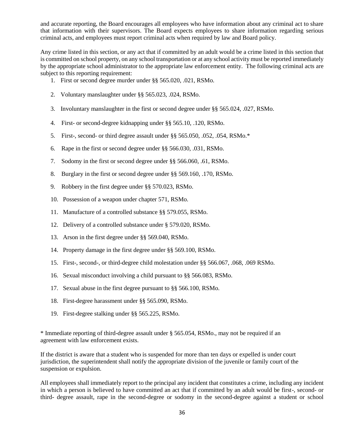and accurate reporting, the Board encourages all employees who have information about any criminal act to share that information with their supervisors. The Board expects employees to share information regarding serious criminal acts, and employees must report criminal acts when required by law and Board policy.

Any crime listed in this section, or any act that if committed by an adult would be a crime listed in this section that is committed on school property, on any school transportation or at any school activity must be reported immediately by the appropriate school administrator to the appropriate law enforcement entity. The following criminal acts are subject to this reporting requirement:

- 1. First or second degree murder under §§ 565.020, .021, RSMo.
- 2. Voluntary manslaughter under §§ 565.023, .024, RSMo.
- 3. Involuntary manslaughter in the first or second degree under §§ 565.024, .027, RSMo.
- 4. First- or second-degree kidnapping under §§ 565.10, .120, RSMo.
- 5. First-, second- or third degree assault under §§ 565.050, .052, .054, RSMo.\*
- 6. Rape in the first or second degree under §§ 566.030, .031, RSMo.
- 7. Sodomy in the first or second degree under §§ 566.060, .61, RSMo.
- 8. Burglary in the first or second degree under §§ 569.160, .170, RSMo.
- 9. Robbery in the first degree under §§ 570.023, RSMo.
- 10. Possession of a weapon under chapter 571, RSMo.
- 11. Manufacture of a controlled substance §§ 579.055, RSMo.
- 12. Delivery of a controlled substance under § 579.020, RSMo.
- 13. Arson in the first degree under §§ 569.040, RSMo.
- 14. Property damage in the first degree under §§ 569.100, RSMo.
- 15. First-, second-, or third-degree child molestation under §§ 566.067, .068, .069 RSMo.
- 16. Sexual misconduct involving a child pursuant to §§ 566.083, RSMo.
- 17. Sexual abuse in the first degree pursuant to §§ 566.100, RSMo.
- 18. First-degree harassment under §§ 565.090, RSMo.
- 19. First-degree stalking under §§ 565.225, RSMo.

\* Immediate reporting of third-degree assault under § 565.054, RSMo., may not be required if an agreement with law enforcement exists.

If the district is aware that a student who is suspended for more than ten days or expelled is under court jurisdiction, the superintendent shall notify the appropriate division of the juvenile or family court of the suspension or expulsion.

All employees shall immediately report to the principal any incident that constitutes a crime, including any incident in which a person is believed to have committed an act that if committed by an adult would be first-, second- or third- degree assault, rape in the second-degree or sodomy in the second-degree against a student or school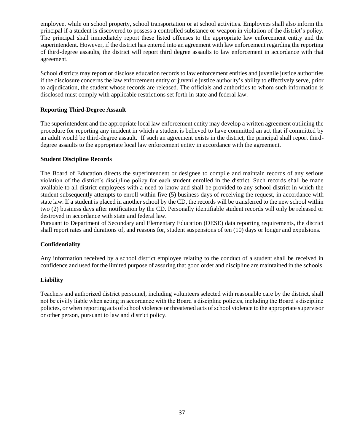employee, while on school property, school transportation or at school activities. Employees shall also inform the principal if a student is discovered to possess a controlled substance or weapon in violation of the district's policy. The principal shall immediately report these listed offenses to the appropriate law enforcement entity and the superintendent. However, if the district has entered into an agreement with law enforcement regarding the reporting of third-degree assaults, the district will report third degree assaults to law enforcement in accordance with that agreement.

School districts may report or disclose education records to law enforcement entities and juvenile justice authorities if the disclosure concerns the law enforcement entity or juvenile justice authority's ability to effectively serve, prior to adjudication, the student whose records are released. The officials and authorities to whom such information is disclosed must comply with applicable restrictions set forth in state and federal law.

# **Reporting Third-Degree Assault**

The superintendent and the appropriate local law enforcement entity may develop a written agreement outlining the procedure for reporting any incident in which a student is believed to have committed an act that if committed by an adult would be third-degree assault. If such an agreement exists in the district, the principal shall report thirddegree assaults to the appropriate local law enforcement entity in accordance with the agreement.

#### **Student Discipline Records**

The Board of Education directs the superintendent or designee to compile and maintain records of any serious violation of the district's discipline policy for each student enrolled in the district. Such records shall be made available to all district employees with a need to know and shall be provided to any school district in which the student subsequently attempts to enroll within five (5) business days of receiving the request, in accordance with state law. If a student is placed in another school by the CD, the records will be transferred to the new school within two (2) business days after notification by the CD. Personally identifiable student records will only be released or destroyed in accordance with state and federal law.

Pursuant to Department of Secondary and Elementary Education (DESE) data reporting requirements, the district shall report rates and durations of, and reasons for, student suspensions of ten (10) days or longer and expulsions.

# **Confidentiality**

Any information received by a school district employee relating to the conduct of a student shall be received in confidence and used for the limited purpose of assuring that good order and discipline are maintained in the schools.

# **Liability**

Teachers and authorized district personnel, including volunteers selected with reasonable care by the district, shall not be civilly liable when acting in accordance with the Board's discipline policies, including the Board's discipline policies, or when reporting acts of school violence or threatened acts of school violence to the appropriate supervisor or other person, pursuant to law and district policy.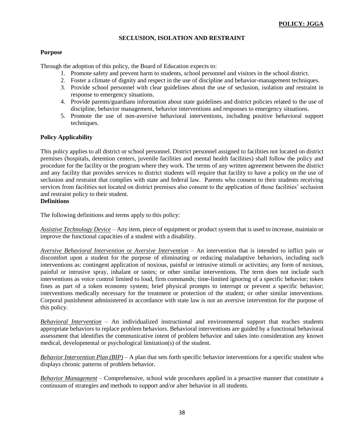#### **SECLUSION, ISOLATION AND RESTRAINT**

# **Purpose**

Through the adoption of this policy, the Board of Education expects to:

- 1. Promote safety and prevent harm to students, school personnel and visitors in the school district.
- 2. Foster a climate of dignity and respect in the use of discipline and behavior-management techniques.
- 3. Provide school personnel with clear guidelines about the use of seclusion, isolation and restraint in response to emergency situations.
- 4. Provide parents/guardians information about state guidelines and district policies related to the use of discipline, behavior management, behavior interventions and responses to emergency situations.
- 5. Promote the use of non-aversive behavioral interventions, including positive behavioral support techniques.

#### **Policy Applicability**

This policy applies to all district or school personnel. District personnel assigned to facilities not located on district premises (hospitals, detention centers, juvenile facilities and mental health facilities) shall follow the policy and procedure for the facility or the program where they work. The terms of any written agreement between the district and any facility that provides services to district students will require that facility to have a policy on the use of seclusion and restraint that complies with state and federal law. Parents who consent to their students receiving services from facilities not located on district premises also consent to the application of those facilities' seclusion and restraint policy to their student.

# **Definitions**

The following definitions and terms apply to this policy:

*Assistive Technology Device* – Any item, piece of equipment or product system that is used to increase, maintain or improve the functional capacities of a student with a disability.

*Aversive Behavioral Intervention* or *Aversive Intervention* – An intervention that is intended to inflict pain or discomfort upon a student for the purpose of eliminating or reducing maladaptive behaviors, including such interventions as: contingent application of noxious, painful or intrusive stimuli or activities; any form of noxious, painful or intrusive spray, inhalant or tastes; or other similar interventions. The term does not include such interventions as voice control limited to loud, firm commands; time-limited ignoring of a specific behavior; token fines as part of a token economy system; brief physical prompts to interrupt or prevent a specific behavior; interventions medically necessary for the treatment or protection of the student; or other similar interventions. Corporal punishment administered in accordance with state law is not an aversive intervention for the purpose of this policy.

*Behavioral Intervention* – An individualized instructional and environmental support that teaches students appropriate behaviors to replace problem behaviors. Behavioral interventions are guided by a functional behavioral assessment that identifies the communicative intent of problem behavior and takes into consideration any known medical, developmental or psychological limitation(s) of the student.

*Behavior Intervention Plan (BIP)* – A plan that sets forth specific behavior interventions for a specific student who displays chronic patterns of problem behavior.

*Behavior Management* – Comprehensive, school wide procedures applied in a proactive manner that constitute a continuum of strategies and methods to support and/or alter behavior in all students.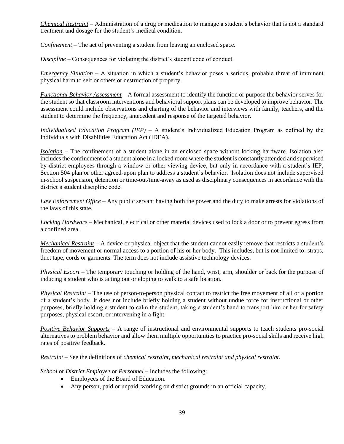*Chemical Restraint* – Administration of a drug or medication to manage a student's behavior that is not a standard treatment and dosage for the student's medical condition.

*Confinement* – The act of preventing a student from leaving an enclosed space.

*Discipline* – Consequences for violating the district's student code of conduct.

*Emergency Situation* – A situation in which a student's behavior poses a serious, probable threat of imminent physical harm to self or others or destruction of property.

*Functional Behavior Assessment* – A formal assessment to identify the function or purpose the behavior serves for the student so that classroom interventions and behavioral support plans can be developed to improve behavior. The assessment could include observations and charting of the behavior and interviews with family, teachers, and the student to determine the frequency, antecedent and response of the targeted behavior.

*Individualized Education Program (IEP)* – A student's Individualized Education Program as defined by the Individuals with Disabilities Education Act (IDEA).

*Isolation* – The confinement of a student alone in an enclosed space without locking hardware. Isolation also includes the confinement of a student alone in a locked room where the student is constantly attended and supervised by district employees through a window or other viewing device, but only in accordance with a student's IEP, Section 504 plan or other agreed-upon plan to address a student's behavior. Isolation does not include supervised in-school suspension, detention or time-out/time-away as used as disciplinary consequences in accordance with the district's student discipline code.

*Law Enforcement Office* – Any public servant having both the power and the duty to make arrests for violations of the laws of this state.

*Locking Hardware* – Mechanical, electrical or other material devices used to lock a door or to prevent egress from a confined area.

*Mechanical Restraint* – A device or physical object that the student cannot easily remove that restricts a student's freedom of movement or normal access to a portion of his or her body. This includes, but is not limited to: straps, duct tape, cords or garments. The term does not include assistive technology devices.

*Physical Escort* – The temporary touching or holding of the hand, wrist, arm, shoulder or back for the purpose of inducing a student who is acting out or eloping to walk to a safe location.

*Physical Restraint* – The use of person-to-person physical contact to restrict the free movement of all or a portion of a student's body. It does not include briefly holding a student without undue force for instructional or other purposes, briefly holding a student to calm the student, taking a student's hand to transport him or her for safety purposes, physical escort, or intervening in a fight.

*Positive Behavior Supports* – A range of instructional and environmental supports to teach students pro-social alternatives to problem behavior and allow them multiple opportunities to practice pro-social skills and receive high rates of positive feedback.

*Restraint* – See the definitions of *chemical restraint, mechanical restraint and physical restraint.*

*School* or *District Employee* or *Personnel* – Includes the following:

- Employees of the Board of Education.
- Any person, paid or unpaid, working on district grounds in an official capacity.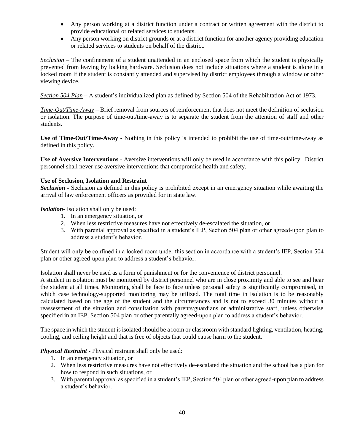- Any person working at a district function under a contract or written agreement with the district to provide educational or related services to students.
- Any person working on district grounds or at a district function for another agency providing education or related services to students on behalf of the district.

*Seclusion* – The confinement of a student unattended in an enclosed space from which the student is physically prevented from leaving by locking hardware. Seclusion does not include situations where a student is alone in a locked room if the student is constantly attended and supervised by district employees through a window or other viewing device.

*Section 504 Plan* – A student's individualized plan as defined by Section 504 of the Rehabilitation Act of 1973.

*Time-Out/Time-Away* – Brief removal from sources of reinforcement that does not meet the definition of seclusion or isolation. The purpose of time-out/time-away is to separate the student from the attention of staff and other students.

**Use of Time-Out/Time-Away -** Nothing in this policy is intended to prohibit the use of time-out/time-away as defined in this policy.

**Use of Aversive Interventions -** Aversive interventions will only be used in accordance with this policy. District personnel shall never use aversive interventions that compromise health and safety.

# **Use of Seclusion, Isolation and Restraint**

*Seclusion -* Seclusion as defined in this policy is prohibited except in an emergency situation while awaiting the arrival of law enforcement officers as provided for in state law.

*Isolation-* Isolation shall only be used:

- 1. In an emergency situation, or
- 2. When less restrictive measures have not effectively de-escalated the situation, or
- 3. With parental approval as specified in a student's IEP, Section 504 plan or other agreed-upon plan to address a student's behavior.

Student will only be confined in a locked room under this section in accordance with a student's IEP, Section 504 plan or other agreed-upon plan to address a student's behavior.

Isolation shall never be used as a form of punishment or for the convenience of district personnel.

A student in isolation must be monitored by district personnel who are in close proximity and able to see and hear the student at all times. Monitoring shall be face to face unless personal safety is significantly compromised, in which case technology-supported monitoring may be utilized. The total time in isolation is to be reasonably calculated based on the age of the student and the circumstances and is not to exceed 30 minutes without a reassessment of the situation and consultation with parents/guardians or administrative staff, unless otherwise specified in an IEP, Section 504 plan or other parentally agreed-upon plan to address a student's behavior.

The space in which the student is isolated should be a room or classroom with standard lighting, ventilation, heating, cooling, and ceiling height and that is free of objects that could cause harm to the student.

*Physical Restraint -* Physical restraint shall only be used:

- 1. In an emergency situation, or
- 2. When less restrictive measures have not effectively de-escalated the situation and the school has a plan for how to respond in such situations, or
- 3. With parental approval as specified in a student's IEP, Section 504 plan or other agreed-upon plan to address a student's behavior.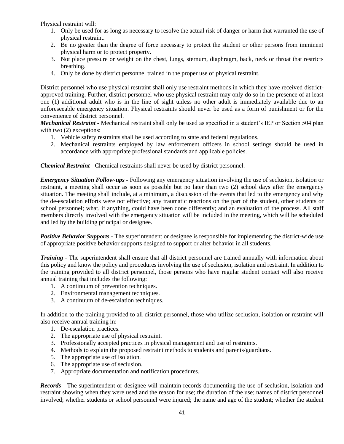Physical restraint will:

- 1. Only be used for as long as necessary to resolve the actual risk of danger or harm that warranted the use of physical restraint.
- 2. Be no greater than the degree of force necessary to protect the student or other persons from imminent physical harm or to protect property.
- 3. Not place pressure or weight on the chest, lungs, sternum, diaphragm, back, neck or throat that restricts breathing.
- 4. Only be done by district personnel trained in the proper use of physical restraint.

District personnel who use physical restraint shall only use restraint methods in which they have received districtapproved training. Further, district personnel who use physical restraint may only do so in the presence of at least one (1) additional adult who is in the line of sight unless no other adult is immediately available due to an unforeseeable emergency situation. Physical restraints should never be used as a form of punishment or for the convenience of district personnel.

*Mechanical Restraint -* Mechanical restraint shall only be used as specified in a student's IEP or Section 504 plan with two  $(2)$  exceptions:

- 1. Vehicle safety restraints shall be used according to state and federal regulations.
- 2. Mechanical restraints employed by law enforcement officers in school settings should be used in accordance with appropriate professional standards and applicable policies.

*Chemical Restraint -* Chemical restraints shall never be used by district personnel.

*Emergency Situation Follow-ups -* Following any emergency situation involving the use of seclusion, isolation or restraint, a meeting shall occur as soon as possible but no later than two (2) school days after the emergency situation. The meeting shall include, at a minimum, a discussion of the events that led to the emergency and why the de-escalation efforts were not effective; any traumatic reactions on the part of the student, other students or school personnel; what, if anything, could have been done differently; and an evaluation of the process. All staff members directly involved with the emergency situation will be included in the meeting, which will be scheduled and led by the building principal or designee.

*Positive Behavior Supports -* The superintendent or designee is responsible for implementing the district-wide use of appropriate positive behavior supports designed to support or alter behavior in all students.

*Training -* The superintendent shall ensure that all district personnel are trained annually with information about this policy and know the policy and procedures involving the use of seclusion, isolation and restraint. In addition to the training provided to all district personnel, those persons who have regular student contact will also receive annual training that includes the following:

- 1. A continuum of prevention techniques.
- 2. Environmental management techniques.
- 3. A continuum of de-escalation techniques.

In addition to the training provided to all district personnel, those who utilize seclusion, isolation or restraint will also receive annual training in:

- 1. De-escalation practices.
- 2. The appropriate use of physical restraint.
- 3. Professionally accepted practices in physical management and use of restraints.
- 4. Methods to explain the proposed restraint methods to students and parents/guardians.
- 5. The appropriate use of isolation.
- 6. The appropriate use of seclusion.
- 7. Appropriate documentation and notification procedures.

*Records -* The superintendent or designee will maintain records documenting the use of seclusion, isolation and restraint showing when they were used and the reason for use; the duration of the use; names of district personnel involved; whether students or school personnel were injured; the name and age of the student; whether the student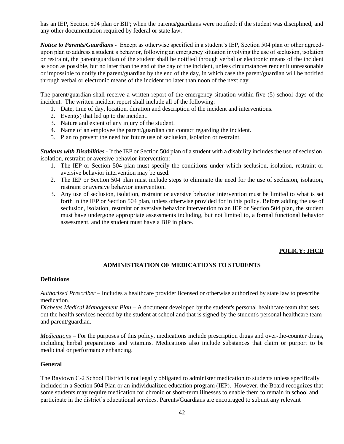has an IEP, Section 504 plan or BIP; when the parents/guardians were notified; if the student was disciplined; and any other documentation required by federal or state law.

*Notice to Parents/Guardians -* Except as otherwise specified in a student's IEP, Section 504 plan or other agreedupon plan to address a student's behavior, following an emergency situation involving the use of seclusion, isolation or restraint, the parent/guardian of the student shall be notified through verbal or electronic means of the incident as soon as possible, but no later than the end of the day of the incident, unless circumstances render it unreasonable or impossible to notify the parent/guardian by the end of the day, in which case the parent/guardian will be notified through verbal or electronic means of the incident no later than noon of the next day.

The parent/guardian shall receive a written report of the emergency situation within five (5) school days of the incident. The written incident report shall include all of the following:

- 1. Date, time of day, location, duration and description of the incident and interventions.
- 2. Event(s) that led up to the incident.
- 3. Nature and extent of any injury of the student.
- 4. Name of an employee the parent/guardian can contact regarding the incident.
- 5. Plan to prevent the need for future use of seclusion, isolation or restraint.

*Students with Disabilities -* If the IEP or Section 504 plan of a student with a disability includes the use of seclusion, isolation, restraint or aversive behavior intervention:

- 1. The IEP or Section 504 plan must specify the conditions under which seclusion, isolation, restraint or aversive behavior intervention may be used.
- 2. The IEP or Section 504 plan must include steps to eliminate the need for the use of seclusion, isolation, restraint or aversive behavior intervention.
- 3. Any use of seclusion, isolation, restraint or aversive behavior intervention must be limited to what is set forth in the IEP or Section 504 plan, unless otherwise provided for in this policy. Before adding the use of seclusion, isolation, restraint or aversive behavior intervention to an IEP or Section 504 plan, the student must have undergone appropriate assessments including, but not limited to, a formal functional behavior assessment, and the student must have a BIP in place.

#### **POLICY: JHCD**

# **ADMINISTRATION OF MEDICATIONS TO STUDENTS**

#### **Definitions**

*Authorized Prescriber* – Includes a healthcare provider licensed or otherwise authorized by state law to prescribe medication.

*Diabetes Medical Management Plan –* A document developed by the student's personal healthcare team that sets out the health services needed by the student at school and that is signed by the student's personal healthcare team and parent/guardian.

*Medications* – For the purposes of this policy, medications include prescription drugs and over-the-counter drugs, including herbal preparations and vitamins. Medications also include substances that claim or purport to be medicinal or performance enhancing.

#### **General**

The Raytown C-2 School District is not legally obligated to administer medication to students unless specifically included in a Section 504 Plan or an individualized education program (IEP). However, the Board recognizes that some students may require medication for chronic or short-term illnesses to enable them to remain in school and participate in the district's educational services. Parents/Guardians are encouraged to submit any relevant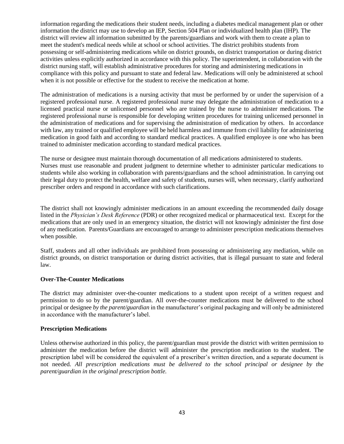information regarding the medications their student needs, including a diabetes medical management plan or other information the district may use to develop an IEP, Section 504 Plan or individualized health plan (IHP). The district will review all information submitted by the parents/guardians and work with them to create a plan to meet the student's medical needs while at school or school activities. The district prohibits students from possessing or self-administering medications while on district grounds, on district transportation or during district activities unless explicitly authorized in accordance with this policy. The superintendent, in collaboration with the district nursing staff, will establish administrative procedures for storing and administering medications in compliance with this policy and pursuant to state and federal law. Medications will only be administered at school when it is not possible or effective for the student to receive the medication at home.

The administration of medications is a nursing activity that must be performed by or under the supervision of a registered professional nurse. A registered professional nurse may delegate the administration of medication to a licensed practical nurse or unlicensed personnel who are trained by the nurse to administer medications. The registered professional nurse is responsible for developing written procedures for training unlicensed personnel in the administration of medications and for supervising the administration of medication by others. In accordance with law, any trained or qualified employee will be held harmless and immune from civil liability for administering medication in good faith and according to standard medical practices. A qualified employee is one who has been trained to administer medication according to standard medical practices.

The nurse or designee must maintain thorough documentation of all medications administered to students. Nurses must use reasonable and prudent judgment to determine whether to administer particular medications to students while also working in collaboration with parents/guardians and the school administration. In carrying out their legal duty to protect the health, welfare and safety of students, nurses will, when necessary, clarify authorized prescriber orders and respond in accordance with such clarifications.

The district shall not knowingly administer medications in an amount exceeding the recommended daily dosage listed in the *Physician's Desk Reference* (PDR) or other recognized medical or pharmaceutical text. Except for the medications that are only used in an emergency situation, the district will not knowingly administer the first dose of any medication. Parents/Guardians are encouraged to arrange to administer prescription medications themselves when possible.

Staff, students and all other individuals are prohibited from possessing or administering any mediation, while on district grounds, on district transportation or during district activities, that is illegal pursuant to state and federal law.

# **Over-The-Counter Medications**

The district may administer over-the-counter medications to a student upon receipt of a written request and permission to do so by the parent/guardian. All over-the-counter medications must be delivered to the school principal or designee *by the parent/guardian* in the manufacturer's original packaging and will only be administered in accordance with the manufacturer's label.

# **Prescription Medications**

Unless otherwise authorized in this policy, the parent/guardian must provide the district with written permission to administer the medication before the district will administer the prescription medication to the student. The prescription label will be considered the equivalent of a prescriber's written direction, and a separate document is not needed. *All prescription medications must be delivered to the school principal or designee by the parent/guardian in the original prescription bottle.*